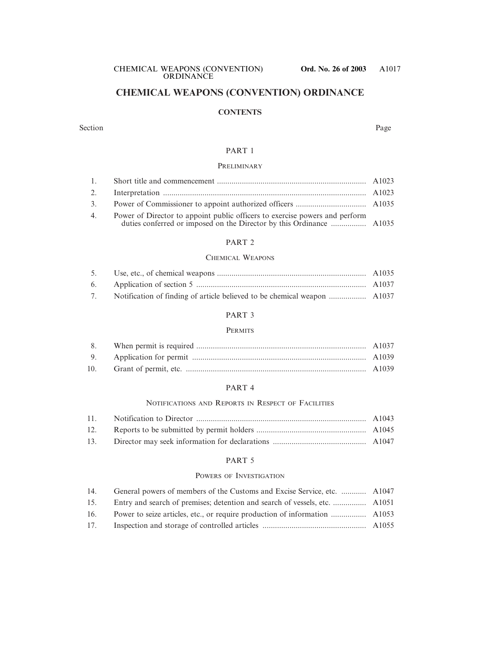# **CHEMICAL WEAPONS (CONVENTION) ORDINANCE**

#### **CONTENTS**

#### Section Page

#### PART 1

#### **PRELIMINARY**

#### PART 2

#### CHEMICAL WEAPONS

#### PART 3

#### **PERMITS**

#### PART 4

#### NOTIFICATIONS AND REPORTS IN RESPECT OF FACILITIES

| 12. |  |
|-----|--|
|     |  |

#### PART 5

#### POWERS OF INVESTIGATION

| 14. | General powers of members of the Customs and Excise Service, etc.  A1047 |  |
|-----|--------------------------------------------------------------------------|--|
| 15. |                                                                          |  |
| 16. |                                                                          |  |
| 17. |                                                                          |  |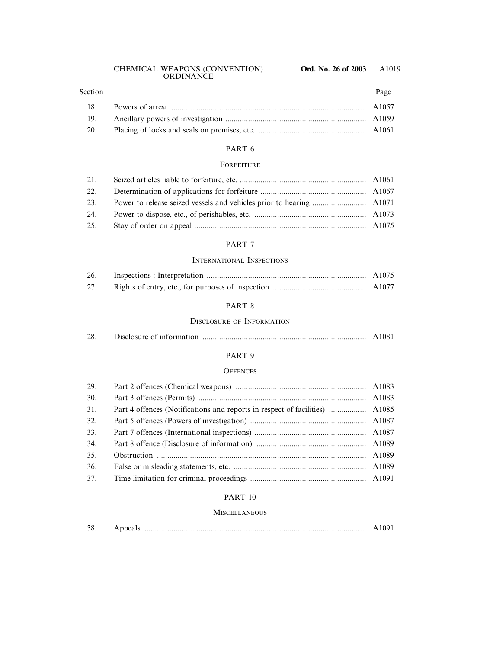# 18. Powers of arrest .............................................................................................. A1057 19. Ancillary powers of investigation .................................................................... A1059 20. Placing of locks and seals on premises, etc. .................................................... A1061 Section Page

#### PART 6

#### **FORFEITURE**

| 21. |  |
|-----|--|
| 22. |  |
| 23. |  |
| 24. |  |
| 25. |  |

#### PART 7

#### INTERNATIONAL INSPECTIONS

| 26. |  |
|-----|--|
| 27. |  |

#### PART 8

#### DISCLOSURE OF INFORMATION

| 28. |  |  | A1081 |
|-----|--|--|-------|
|-----|--|--|-------|

#### PART 9

#### **OFFENCES**

| 29. |  |
|-----|--|
| 30. |  |
| 31. |  |
| 32. |  |
| 33. |  |
| 34. |  |
| 35. |  |
| 36. |  |
| 37. |  |

#### PART 10

#### **MISCELLANEOUS**

| 38 |  |  |  |
|----|--|--|--|
|----|--|--|--|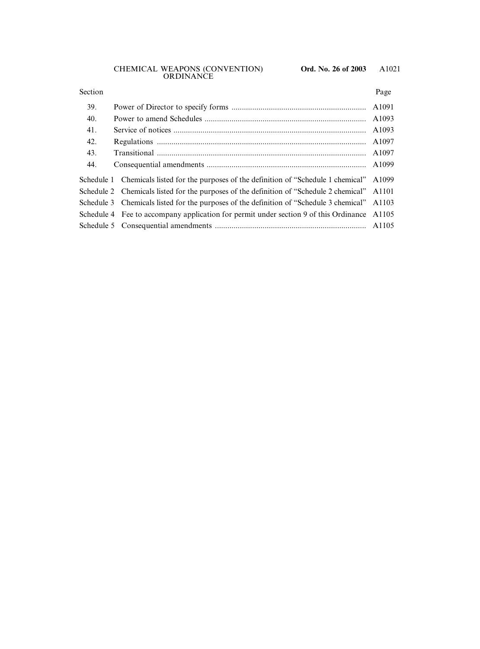#### Section Page

| 39. |                                                                                               |  |
|-----|-----------------------------------------------------------------------------------------------|--|
| 40. |                                                                                               |  |
| 41. |                                                                                               |  |
| 42. |                                                                                               |  |
| 43. |                                                                                               |  |
| 44. |                                                                                               |  |
|     | Schedule 1 Chemicals listed for the purposes of the definition of "Schedule 1 chemical" A1099 |  |
|     | Schedule 2 Chemicals listed for the purposes of the definition of "Schedule 2 chemical" A1101 |  |
|     | Schedule 3 Chemicals listed for the purposes of the definition of "Schedule 3 chemical" A1103 |  |
|     | Schedule 4 Fee to accompany application for permit under section 9 of this Ordinance A1105    |  |
|     |                                                                                               |  |
|     |                                                                                               |  |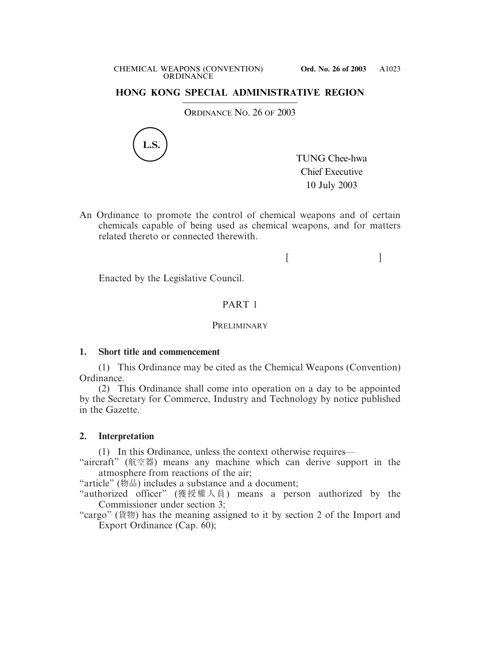## **HONG KONG SPECIAL ADMINISTRATIVE REGION**

ORDINANCE NO. 26 OF 2003



TUNG Chee-hwa Chief Executive 10 July 2003

An Ordinance to promote the control of chemical weapons and of certain chemicals capable of being used as chemical weapons, and for matters related thereto or connected therewith.

 $[$   $]$ 

Enacted by the Legislative Council.

# PART 1

## **PRELIMINARY**

## **1. Short title and commencement**

(1) This Ordinance may be cited as the Chemical Weapons (Convention) Ordinance.

(2) This Ordinance shall come into operation on a day to be appointed by the Secretary for Commerce, Industry and Technology by notice published in the Gazette.

## **2. Interpretation**

(1) In this Ordinance, unless the context otherwise requires—

"aircraft" (航空器) means any machine which can derive support in the atmosphere from reactions of the air;

"article" (物品) includes a substance and a document;

"authorized officer" (獲授權人員) means a person authorized by the Commissioner under section 3;

"cargo" (貨物) has the meaning assigned to it by section 2 of the Import and Export Ordinance (Cap. 60);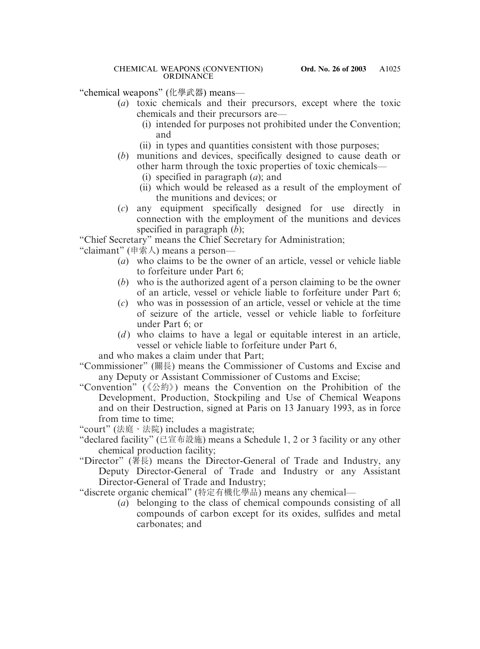"chemical weapons" (化學武器) means—

- (*a*) toxic chemicals and their precursors, except where the toxic chemicals and their precursors are—
	- (i) intended for purposes not prohibited under the Convention; and
	- (ii) in types and quantities consistent with those purposes;
- (*b*) munitions and devices, specifically designed to cause death or other harm through the toxic properties of toxic chemicals—
	- (i) specified in paragraph (*a*); and
	- (ii) which would be released as a result of the employment of the munitions and devices; or
- (*c*) any equipment specifically designed for use directly in connection with the employment of the munitions and devices specified in paragraph (*b*);

"Chief Secretary" means the Chief Secretary for Administration;

"claimant" (申索人) means a person—

- (*a*) who claims to be the owner of an article, vessel or vehicle liable to forfeiture under Part 6;
- (*b*) who is the authorized agent of a person claiming to be the owner of an article, vessel or vehicle liable to forfeiture under Part 6;
- (*c*) who was in possession of an article, vessel or vehicle at the time of seizure of the article, vessel or vehicle liable to forfeiture under Part 6; or
- (*d*) who claims to have a legal or equitable interest in an article, vessel or vehicle liable to forfeiture under Part 6,

and who makes a claim under that Part;

- "Commissioner" (關長) means the Commissioner of Customs and Excise and any Deputy or Assistant Commissioner of Customs and Excise;
- "Convention" (《公約》) means the Convention on the Prohibition of the Development, Production, Stockpiling and Use of Chemical Weapons and on their Destruction, signed at Paris on 13 January 1993, as in force from time to time;

"court" (法庭、法院) includes a magistrate;

- "declared facility" (已宣布設施) means a Schedule 1, 2 or 3 facility or any other chemical production facility;
- "Director" (署長) means the Director-General of Trade and Industry, any Deputy Director-General of Trade and Industry or any Assistant Director-General of Trade and Industry;

"discrete organic chemical" (特定有機化學品) means any chemical—

(*a*) belonging to the class of chemical compounds consisting of all compounds of carbon except for its oxides, sulfides and metal carbonates; and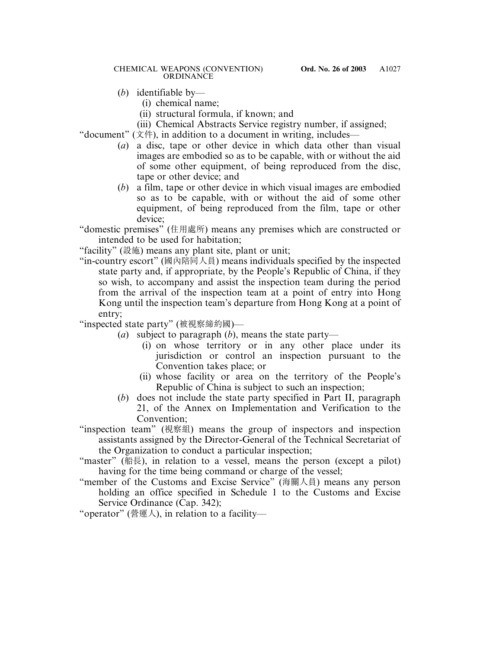#### CHEMICAL WEAPONS (CONVENTION) **Ord. No. 26 of 2003** ORDINANCE

- (*b*) identifiable by—
	- (i) chemical name;
	- (ii) structural formula, if known; and
	- (iii) Chemical Abstracts Service registry number, if assigned;

"document"  $(\dot{\chi} \#)$ , in addition to a document in writing, includes—

- (*a*) a disc, tape or other device in which data other than visual images are embodied so as to be capable, with or without the aid of some other equipment, of being reproduced from the disc, tape or other device; and
- (*b*) a film, tape or other device in which visual images are embodied so as to be capable, with or without the aid of some other equipment, of being reproduced from the film, tape or other device;

"domestic premises" (住用處所) means any premises which are constructed or intended to be used for habitation;

"facility" (設施) means any plant site, plant or unit;

"in-country escort" (國內陪同人員) means individuals specified by the inspected state party and, if appropriate, by the People's Republic of China, if they so wish, to accompany and assist the inspection team during the period from the arrival of the inspection team at a point of entry into Hong Kong until the inspection team's departure from Hong Kong at a point of entry;

"inspected state party" (被視察締約國)—

- (*a*) subject to paragraph (*b*), means the state party—
	- (i) on whose territory or in any other place under its jurisdiction or control an inspection pursuant to the Convention takes place; or
	- (ii) whose facility or area on the territory of the People's Republic of China is subject to such an inspection;
- (*b*) does not include the state party specified in Part II, paragraph 21, of the Annex on Implementation and Verification to the Convention;
- "inspection team" (視察組) means the group of inspectors and inspection assistants assigned by the Director-General of the Technical Secretariat of the Organization to conduct a particular inspection;
- "master" (船長), in relation to a vessel, means the person (except a pilot) having for the time being command or charge of the vessel;
- "member of the Customs and Excise Service" (海關人員) means any person holding an office specified in Schedule 1 to the Customs and Excise Service Ordinance (Cap. 342);

"operator" (營運人), in relation to a facility—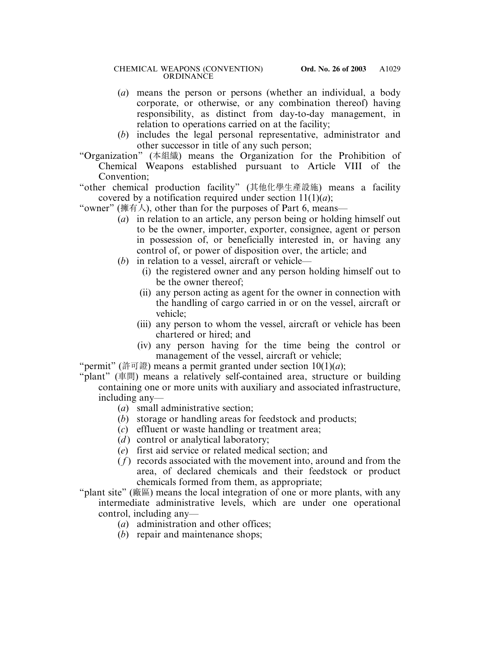- (*a*) means the person or persons (whether an individual, a body corporate, or otherwise, or any combination thereof) having responsibility, as distinct from day-to-day management, in relation to operations carried on at the facility;
- (*b*) includes the legal personal representative, administrator and other successor in title of any such person;
- "Organization" (本組織) means the Organization for the Prohibition of Chemical Weapons established pursuant to Article VIII of the Convention;
- "other chemical production facility" (其他化學生產設施) means a facility covered by a notification required under section  $11(1)(a)$ ;
- "owner" (擁有人), other than for the purposes of Part 6, means—
	- (*a*) in relation to an article, any person being or holding himself out to be the owner, importer, exporter, consignee, agent or person in possession of, or beneficially interested in, or having any control of, or power of disposition over, the article; and
	- (*b*) in relation to a vessel, aircraft or vehicle—
		- (i) the registered owner and any person holding himself out to be the owner thereof;
		- (ii) any person acting as agent for the owner in connection with the handling of cargo carried in or on the vessel, aircraft or vehicle;
		- (iii) any person to whom the vessel, aircraft or vehicle has been chartered or hired; and
		- (iv) any person having for the time being the control or management of the vessel, aircraft or vehicle;
- "permit" (許可證) means a permit granted under section  $10(1)(a)$ ;
- "plant" (車間) means a relatively self-contained area, structure or building containing one or more units with auxiliary and associated infrastructure, including any—
	- (*a*) small administrative section;
	- (*b*) storage or handling areas for feedstock and products;
	- (*c*) effluent or waste handling or treatment area;
	- $(d)$  control or analytical laboratory;
	- (*e*) first aid service or related medical section; and
	- ( *f* ) records associated with the movement into, around and from the area, of declared chemicals and their feedstock or product chemicals formed from them, as appropriate;
- "plant site" (廠區) means the local integration of one or more plants, with any intermediate administrative levels, which are under one operational control, including any—
	- (*a*) administration and other offices;
	- (*b*) repair and maintenance shops;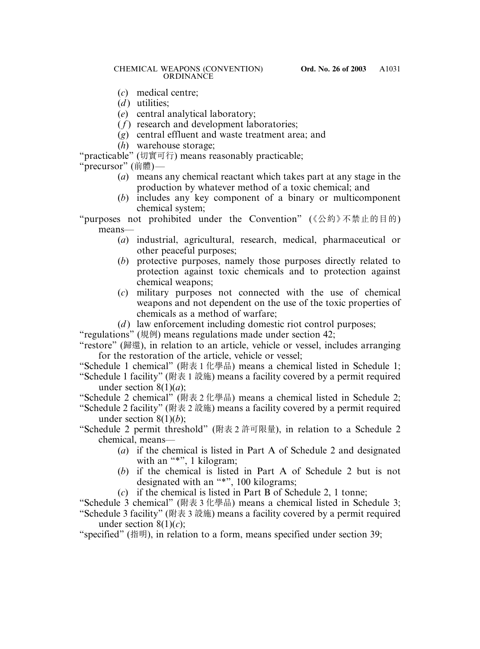#### CHEMICAL WEAPONS (CONVENTION) **Ord. No. 26 of 2003** ORDINANCE

- (*c*) medical centre;
- $(d)$  utilities;
- (*e*) central analytical laboratory;
- $(f)$  research and development laboratories;
- (*g*) central effluent and waste treatment area; and
- (*h*) warehouse storage;

"practicable" (切實可行) means reasonably practicable;

"precursor" (前體)—

- (*a*) means any chemical reactant which takes part at any stage in the production by whatever method of a toxic chemical; and
- (*b*) includes any key component of a binary or multicomponent chemical system;

"purposes not prohibited under the Convention" (《公約》不禁止的目的) means—

- (*a*) industrial, agricultural, research, medical, pharmaceutical or other peaceful purposes;
- (*b*) protective purposes, namely those purposes directly related to protection against toxic chemicals and to protection against chemical weapons;
- (*c*) military purposes not connected with the use of chemical weapons and not dependent on the use of the toxic properties of chemicals as a method of warfare;
- (*d*) law enforcement including domestic riot control purposes;

"regulations" (規例) means regulations made under section 42;

- "restore" (歸還), in relation to an article, vehicle or vessel, includes arranging for the restoration of the article, vehicle or vessel;
- "Schedule 1 chemical" (附表 1 化學品) means a chemical listed in Schedule 1;
- "Schedule 1 facility" (附表 1 設施) means a facility covered by a permit required under section 8(1)(*a*);
- "Schedule 2 chemical" (附表 2 化學品) means a chemical listed in Schedule 2;
- "Schedule 2 facility" (附表 2 設施) means a facility covered by a permit required under section 8(1)(*b*);
- "Schedule 2 permit threshold" (附表 2 許可限量), in relation to a Schedule 2 chemical, means—
	- (*a*) if the chemical is listed in Part A of Schedule 2 and designated with an "\*", 1 kilogram;
	- (*b*) if the chemical is listed in Part A of Schedule 2 but is not designated with an "\*", 100 kilograms;
	- (*c*) if the chemical is listed in Part B of Schedule 2, 1 tonne;

"Schedule 3 chemical" (附表 3 化學品) means a chemical listed in Schedule 3;

"Schedule 3 facility" (附表 3 設施) means a facility covered by a permit required under section  $8(1)(c)$ ;

"specified" (指明), in relation to a form, means specified under section 39;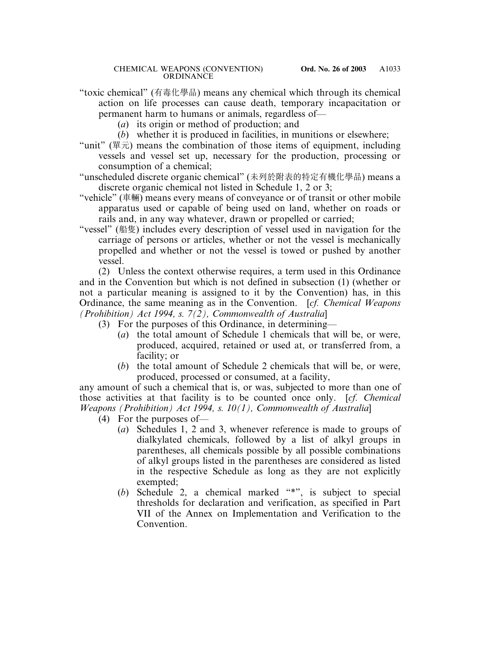- "toxic chemical" (有毒化學品) means any chemical which through its chemical action on life processes can cause death, temporary incapacitation or permanent harm to humans or animals, regardless of—
	- (*a*) its origin or method of production; and
	- (*b*) whether it is produced in facilities, in munitions or elsewhere;
- "unit" (單元) means the combination of those items of equipment, including vessels and vessel set up, necessary for the production, processing or consumption of a chemical;
- "unscheduled discrete organic chemical" (未列於附表的特定有機化學品) means a discrete organic chemical not listed in Schedule 1, 2 or 3;
- "vehicle" (車輛) means every means of conveyance or of transit or other mobile apparatus used or capable of being used on land, whether on roads or rails and, in any way whatever, drawn or propelled or carried;
- "vessel" (船隻) includes every description of vessel used in navigation for the carriage of persons or articles, whether or not the vessel is mechanically propelled and whether or not the vessel is towed or pushed by another vessel.

(2) Unless the context otherwise requires, a term used in this Ordinance and in the Convention but which is not defined in subsection (1) (whether or not a particular meaning is assigned to it by the Convention) has, in this Ordinance, the same meaning as in the Convention. [*cf. Chemical Weapons (Prohibition) Act 1994, s. 7(2), Commonwealth of Australia*]

- (3) For the purposes of this Ordinance, in determining—
	- (*a*) the total amount of Schedule 1 chemicals that will be, or were, produced, acquired, retained or used at, or transferred from, a facility; or
	- (*b*) the total amount of Schedule 2 chemicals that will be, or were, produced, processed or consumed, at a facility,

any amount of such a chemical that is, or was, subjected to more than one of those activities at that facility is to be counted once only. [*cf. Chemical Weapons (Prohibition) Act 1994, s. 10(1), Commonwealth of Australia*]

- (4) For the purposes of—
	- (*a*) Schedules 1, 2 and 3, whenever reference is made to groups of dialkylated chemicals, followed by a list of alkyl groups in parentheses, all chemicals possible by all possible combinations of alkyl groups listed in the parentheses are considered as listed in the respective Schedule as long as they are not explicitly exempted;
	- (*b*) Schedule 2, a chemical marked "\*", is subject to special thresholds for declaration and verification, as specified in Part VII of the Annex on Implementation and Verification to the Convention.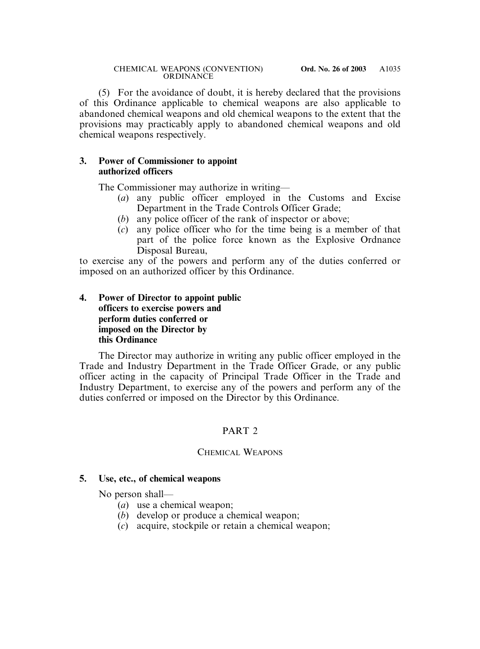(5) For the avoidance of doubt, it is hereby declared that the provisions of this Ordinance applicable to chemical weapons are also applicable to abandoned chemical weapons and old chemical weapons to the extent that the provisions may practicably apply to abandoned chemical weapons and old chemical weapons respectively.

## **3. Power of Commissioner to appoint authorized officers**

The Commissioner may authorize in writing—

- (*a*) any public officer employed in the Customs and Excise Department in the Trade Controls Officer Grade;
- (*b*) any police officer of the rank of inspector or above;
- (*c*) any police officer who for the time being is a member of that part of the police force known as the Explosive Ordnance Disposal Bureau,

to exercise any of the powers and perform any of the duties conferred or imposed on an authorized officer by this Ordinance.

## **4. Power of Director to appoint public officers to exercise powers and perform duties conferred or imposed on the Director by this Ordinance**

The Director may authorize in writing any public officer employed in the Trade and Industry Department in the Trade Officer Grade, or any public officer acting in the capacity of Principal Trade Officer in the Trade and Industry Department, to exercise any of the powers and perform any of the duties conferred or imposed on the Director by this Ordinance.

# PART 2

## CHEMICAL WEAPONS

## **5. Use, etc., of chemical weapons**

No person shall—

- (*a*) use a chemical weapon;
- (*b*) develop or produce a chemical weapon;
- (*c*) acquire, stockpile or retain a chemical weapon;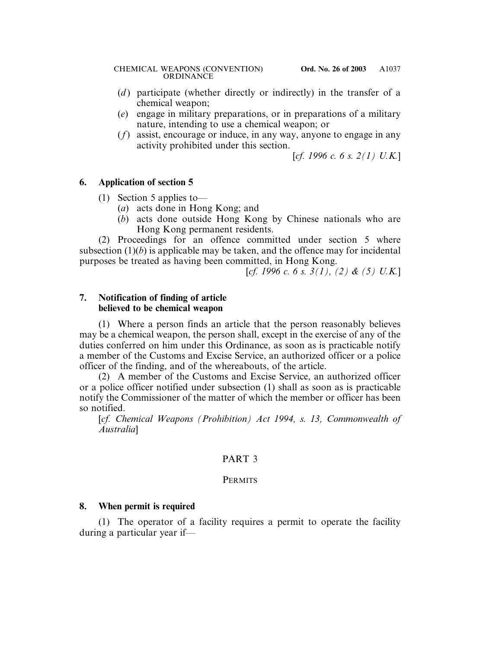- (*d*) participate (whether directly or indirectly) in the transfer of a chemical weapon;
- (*e*) engage in military preparations, or in preparations of a military nature, intending to use a chemical weapon; or
- (*f*) assist, encourage or induce, in any way, anyone to engage in any activity prohibited under this section.

[*cf. 1996 c. 6 s. 2(1) U.K.*]

## **6. Application of section 5**

- (1) Section 5 applies to—
	- (*a*) acts done in Hong Kong; and
	- (*b*) acts done outside Hong Kong by Chinese nationals who are Hong Kong permanent residents.

(2) Proceedings for an offence committed under section 5 where subsection  $(1)(b)$  is applicable may be taken, and the offence may for incidental purposes be treated as having been committed, in Hong Kong.

[*cf. 1996 c. 6 s. 3(1), (2) & (5) U.K.*]

#### **7. Notification of finding of article believed to be chemical weapon**

(1) Where a person finds an article that the person reasonably believes may be a chemical weapon, the person shall, except in the exercise of any of the duties conferred on him under this Ordinance, as soon as is practicable notify a member of the Customs and Excise Service, an authorized officer or a police officer of the finding, and of the whereabouts, of the article.

(2) A member of the Customs and Excise Service, an authorized officer or a police officer notified under subsection (1) shall as soon as is practicable notify the Commissioner of the matter of which the member or officer has been so notified.

[*cf. Chemical Weapons (Prohibition) Act 1994, s. 13, Commonwealth of Australia*]

## PART 3

## **PERMITS**

## **8. When permit is required**

(1) The operator of a facility requires a permit to operate the facility during a particular year if—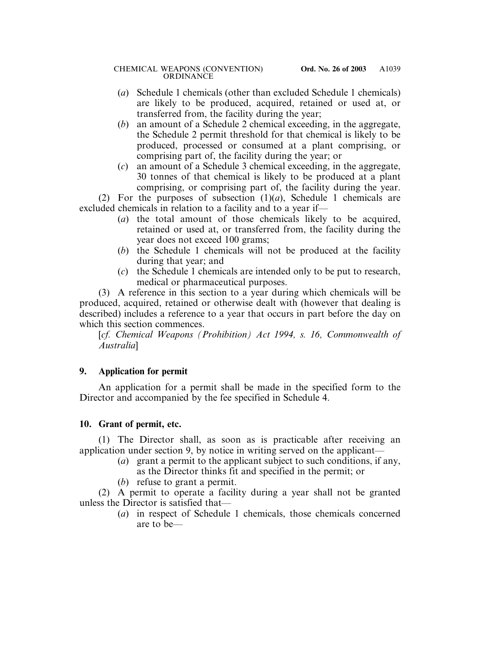- (*a*) Schedule 1 chemicals (other than excluded Schedule 1 chemicals) are likely to be produced, acquired, retained or used at, or transferred from, the facility during the year;
- (*b*) an amount of a Schedule 2 chemical exceeding, in the aggregate, the Schedule 2 permit threshold for that chemical is likely to be produced, processed or consumed at a plant comprising, or comprising part of, the facility during the year; or
- (*c*) an amount of a Schedule 3 chemical exceeding, in the aggregate, 30 tonnes of that chemical is likely to be produced at a plant comprising, or comprising part of, the facility during the year.

(2) For the purposes of subsection (1)(*a*), Schedule 1 chemicals are excluded chemicals in relation to a facility and to a year if—

- (*a*) the total amount of those chemicals likely to be acquired, retained or used at, or transferred from, the facility during the year does not exceed 100 grams;
- (*b*) the Schedule 1 chemicals will not be produced at the facility during that year; and
- (*c*) the Schedule 1 chemicals are intended only to be put to research, medical or pharmaceutical purposes.

(3) A reference in this section to a year during which chemicals will be produced, acquired, retained or otherwise dealt with (however that dealing is described) includes a reference to a year that occurs in part before the day on which this section commences.

[*cf. Chemical Weapons (Prohibition) Act 1994, s. 16, Commonwealth of Australia*]

# **9. Application for permit**

An application for a permit shall be made in the specified form to the Director and accompanied by the fee specified in Schedule 4.

# **10. Grant of permit, etc.**

(1) The Director shall, as soon as is practicable after receiving an application under section 9, by notice in writing served on the applicant—

- (*a*) grant a permit to the applicant subject to such conditions, if any, as the Director thinks fit and specified in the permit; or
- (*b*) refuse to grant a permit.

(2) A permit to operate a facility during a year shall not be granted unless the Director is satisfied that—

(*a*) in respect of Schedule 1 chemicals, those chemicals concerned are to be—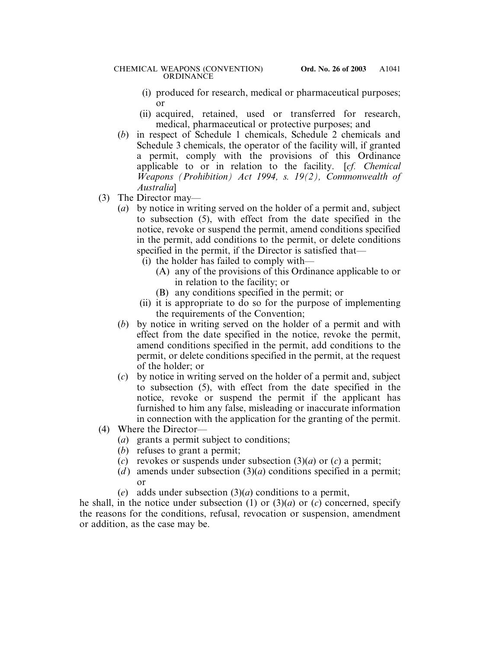- (i) produced for research, medical or pharmaceutical purposes; or
- (ii) acquired, retained, used or transferred for research, medical, pharmaceutical or protective purposes; and
- (*b*) in respect of Schedule 1 chemicals, Schedule 2 chemicals and Schedule 3 chemicals, the operator of the facility will, if granted a permit, comply with the provisions of this Ordinance applicable to or in relation to the facility. [*cf. Chemical Weapons (Prohibition) Act 1994, s. 19(2), Commonwealth of Australia*]
- (3) The Director may—
	- (*a*) by notice in writing served on the holder of a permit and, subject to subsection (5), with effect from the date specified in the notice, revoke or suspend the permit, amend conditions specified in the permit, add conditions to the permit, or delete conditions specified in the permit, if the Director is satisfied that—
		- (i) the holder has failed to comply with—
			- (A) any of the provisions of this Ordinance applicable to or in relation to the facility; or
			- (B) any conditions specified in the permit; or
		- (ii) it is appropriate to do so for the purpose of implementing the requirements of the Convention;
	- (*b*) by notice in writing served on the holder of a permit and with effect from the date specified in the notice, revoke the permit, amend conditions specified in the permit, add conditions to the permit, or delete conditions specified in the permit, at the request of the holder; or
	- (*c*) by notice in writing served on the holder of a permit and, subject to subsection (5), with effect from the date specified in the notice, revoke or suspend the permit if the applicant has furnished to him any false, misleading or inaccurate information in connection with the application for the granting of the permit.
- (4) Where the Director—
	- (*a*) grants a permit subject to conditions;
	- (*b*) refuses to grant a permit;
	- (*c*) revokes or suspends under subsection (3)(*a*) or (*c*) a permit;
	- (*d*) amends under subsection  $(3)(a)$  conditions specified in a permit; or
	- (*e*) adds under subsection (3)(*a*) conditions to a permit,

he shall, in the notice under subsection (1) or  $(3)(a)$  or  $(c)$  concerned, specify the reasons for the conditions, refusal, revocation or suspension, amendment or addition, as the case may be.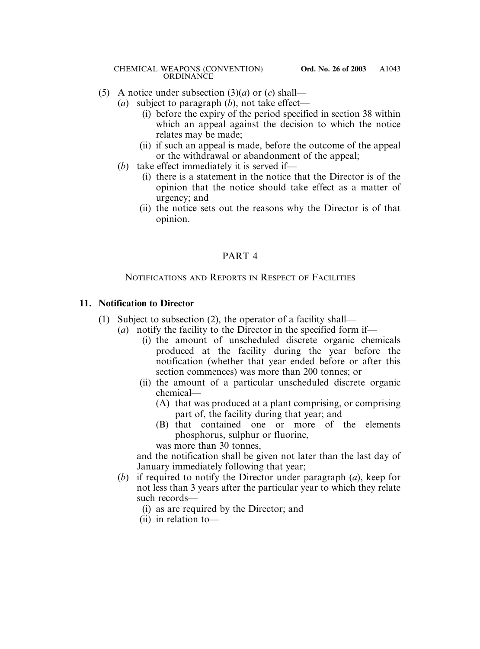- (5) A notice under subsection (3)(*a*) or (*c*) shall—
	- (*a*) subject to paragraph (*b*), not take effect—
		- (i) before the expiry of the period specified in section 38 within which an appeal against the decision to which the notice relates may be made;
		- (ii) if such an appeal is made, before the outcome of the appeal or the withdrawal or abandonment of the appeal;
	- (*b*) take effect immediately it is served if—
		- (i) there is a statement in the notice that the Director is of the opinion that the notice should take effect as a matter of urgency; and
		- (ii) the notice sets out the reasons why the Director is of that opinion.

# PART 4

# NOTIFICATIONS AND REPORTS IN RESPECT OF FACILITIES

# **11. Notification to Director**

- (1) Subject to subsection (2), the operator of a facility shall—
	- (*a*) notify the facility to the Director in the specified form if—
		- (i) the amount of unscheduled discrete organic chemicals produced at the facility during the year before the notification (whether that year ended before or after this section commences) was more than 200 tonnes; or
		- (ii) the amount of a particular unscheduled discrete organic chemical—
			- (A) that was produced at a plant comprising, or comprising part of, the facility during that year; and
			- (B) that contained one or more of the elements phosphorus, sulphur or fluorine, was more than 30 tonnes,

and the notification shall be given not later than the last day of

January immediately following that year;

- (*b*) if required to notify the Director under paragraph (*a*), keep for not less than 3 years after the particular year to which they relate such records—
	- (i) as are required by the Director; and
	- (ii) in relation to—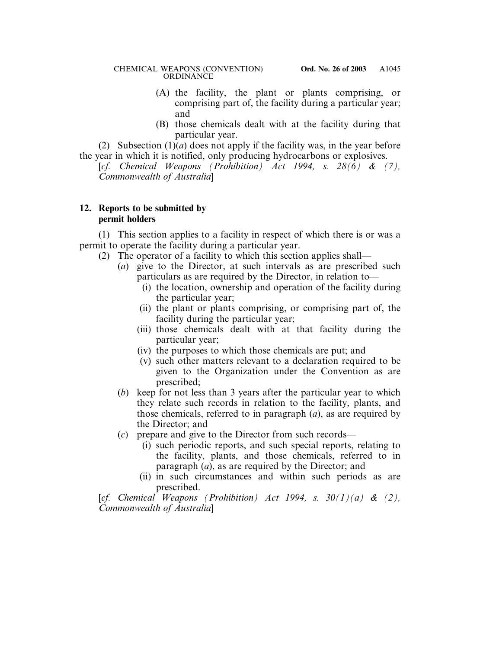- (A) the facility, the plant or plants comprising, or comprising part of, the facility during a particular year; and
- (B) those chemicals dealt with at the facility during that particular year.

(2) Subsection  $(1)(a)$  does not apply if the facility was, in the year before the year in which it is notified, only producing hydrocarbons or explosives.

[*cf. Chemical Weapons (Prohibition) Act 1994, s. 28(6) & (7), Commonwealth of Australia*]

## **12. Reports to be submitted by permit holders**

(1) This section applies to a facility in respect of which there is or was a permit to operate the facility during a particular year.

- (2) The operator of a facility to which this section applies shall—
	- (*a*) give to the Director, at such intervals as are prescribed such particulars as are required by the Director, in relation to—
		- (i) the location, ownership and operation of the facility during the particular year;
		- (ii) the plant or plants comprising, or comprising part of, the facility during the particular year;
		- (iii) those chemicals dealt with at that facility during the particular year;
		- (iv) the purposes to which those chemicals are put; and
		- (v) such other matters relevant to a declaration required to be given to the Organization under the Convention as are prescribed;
	- (*b*) keep for not less than 3 years after the particular year to which they relate such records in relation to the facility, plants, and those chemicals, referred to in paragraph (*a*), as are required by the Director; and
	- (*c*) prepare and give to the Director from such records—
		- (i) such periodic reports, and such special reports, relating to the facility, plants, and those chemicals, referred to in paragraph (*a*), as are required by the Director; and
		- (ii) in such circumstances and within such periods as are prescribed.

[*cf. Chemical Weapons (Prohibition) Act 1994, s.*  $30(1)(a)$  &  $(2)$ , *Commonwealth of Australia*]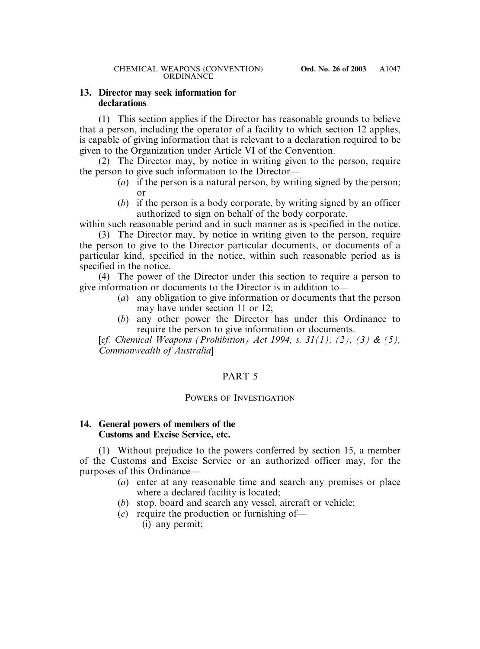## **13. Director may seek information for declarations**

(1) This section applies if the Director has reasonable grounds to believe that a person, including the operator of a facility to which section 12 applies, is capable of giving information that is relevant to a declaration required to be given to the Organization under Article VI of the Convention.

(2) The Director may, by notice in writing given to the person, require the person to give such information to the Director—

- (*a*) if the person is a natural person, by writing signed by the person; or
- (*b*) if the person is a body corporate, by writing signed by an officer authorized to sign on behalf of the body corporate,

within such reasonable period and in such manner as is specified in the notice.

(3) The Director may, by notice in writing given to the person, require the person to give to the Director particular documents, or documents of a particular kind, specified in the notice, within such reasonable period as is specified in the notice.

(4) The power of the Director under this section to require a person to give information or documents to the Director is in addition to—

- (*a*) any obligation to give information or documents that the person may have under section 11 or 12;
- (*b*) any other power the Director has under this Ordinance to require the person to give information or documents.

[*cf. Chemical Weapons (Prohibition) Act 1994, s. 31(1), (2), (3) & (5), Commonwealth of Australia*]

# PART 5

## POWERS OF INVESTIGATION

## **14. General powers of members of the Customs and Excise Service, etc.**

(1) Without prejudice to the powers conferred by section 15, a member of the Customs and Excise Service or an authorized officer may, for the purposes of this Ordinance—

- (*a*) enter at any reasonable time and search any premises or place where a declared facility is located;
- (*b*) stop, board and search any vessel, aircraft or vehicle;
- (*c*) require the production or furnishing of—
	- (i) any permit;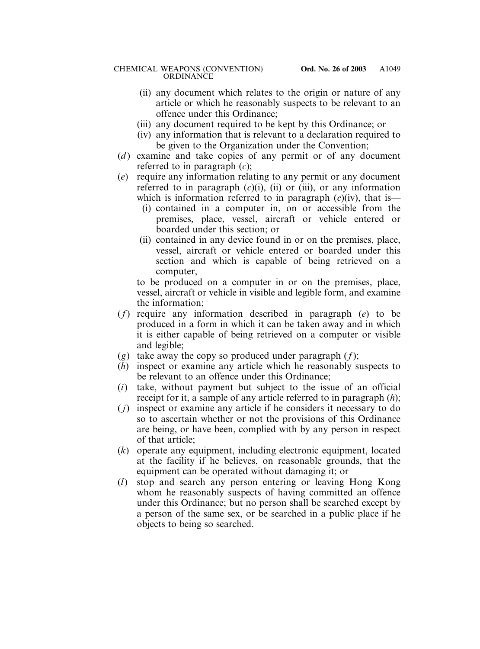- (ii) any document which relates to the origin or nature of any article or which he reasonably suspects to be relevant to an offence under this Ordinance;
- (iii) any document required to be kept by this Ordinance; or
- (iv) any information that is relevant to a declaration required to be given to the Organization under the Convention;
- (*d*) examine and take copies of any permit or of any document referred to in paragraph (*c*);
- (*e*) require any information relating to any permit or any document referred to in paragraph  $(c)(i)$ ,  $(ii)$  or  $(iii)$ , or any information which is information referred to in paragraph (*c*)(iv), that is—
	- (i) contained in a computer in, on or accessible from the premises, place, vessel, aircraft or vehicle entered or boarded under this section; or
	- (ii) contained in any device found in or on the premises, place, vessel, aircraft or vehicle entered or boarded under this section and which is capable of being retrieved on a computer,

to be produced on a computer in or on the premises, place, vessel, aircraft or vehicle in visible and legible form, and examine the information;

- (*f*) require any information described in paragraph (*e*) to be produced in a form in which it can be taken away and in which it is either capable of being retrieved on a computer or visible and legible;
- (*g*) take away the copy so produced under paragraph (*f*);
- (*h*) inspect or examine any article which he reasonably suspects to be relevant to an offence under this Ordinance;
- (*i*) take, without payment but subject to the issue of an official receipt for it, a sample of any article referred to in paragraph (*h*);
- ( *j*) inspect or examine any article if he considers it necessary to do so to ascertain whether or not the provisions of this Ordinance are being, or have been, complied with by any person in respect of that article;
- (*k*) operate any equipment, including electronic equipment, located at the facility if he believes, on reasonable grounds, that the equipment can be operated without damaging it; or
- (*l*) stop and search any person entering or leaving Hong Kong whom he reasonably suspects of having committed an offence under this Ordinance; but no person shall be searched except by a person of the same sex, or be searched in a public place if he objects to being so searched.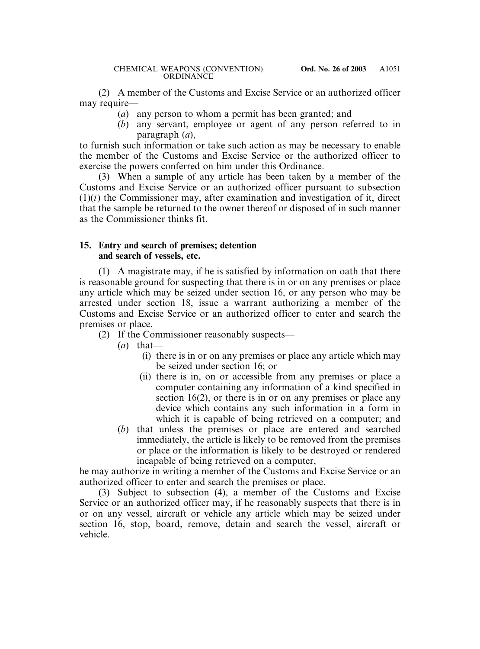(2) A member of the Customs and Excise Service or an authorized officer may require—

- (*a*) any person to whom a permit has been granted; and
- (*b*) any servant, employee or agent of any person referred to in paragraph (*a*),

to furnish such information or take such action as may be necessary to enable the member of the Customs and Excise Service or the authorized officer to exercise the powers conferred on him under this Ordinance.

(3) When a sample of any article has been taken by a member of the Customs and Excise Service or an authorized officer pursuant to subsection  $(1)(i)$  the Commissioner may, after examination and investigation of it, direct that the sample be returned to the owner thereof or disposed of in such manner as the Commissioner thinks fit.

## **15. Entry and search of premises; detention and search of vessels, etc.**

(1) A magistrate may, if he is satisfied by information on oath that there is reasonable ground for suspecting that there is in or on any premises or place any article which may be seized under section 16, or any person who may be arrested under section 18, issue a warrant authorizing a member of the Customs and Excise Service or an authorized officer to enter and search the premises or place.

- (2) If the Commissioner reasonably suspects—
	- (*a*) that—
		- (i) there is in or on any premises or place any article which may be seized under section 16; or
		- (ii) there is in, on or accessible from any premises or place a computer containing any information of a kind specified in section 16(2), or there is in or on any premises or place any device which contains any such information in a form in which it is capable of being retrieved on a computer; and
	- (*b*) that unless the premises or place are entered and searched immediately, the article is likely to be removed from the premises or place or the information is likely to be destroyed or rendered incapable of being retrieved on a computer,

he may authorize in writing a member of the Customs and Excise Service or an authorized officer to enter and search the premises or place.

(3) Subject to subsection (4), a member of the Customs and Excise Service or an authorized officer may, if he reasonably suspects that there is in or on any vessel, aircraft or vehicle any article which may be seized under section 16, stop, board, remove, detain and search the vessel, aircraft or vehicle.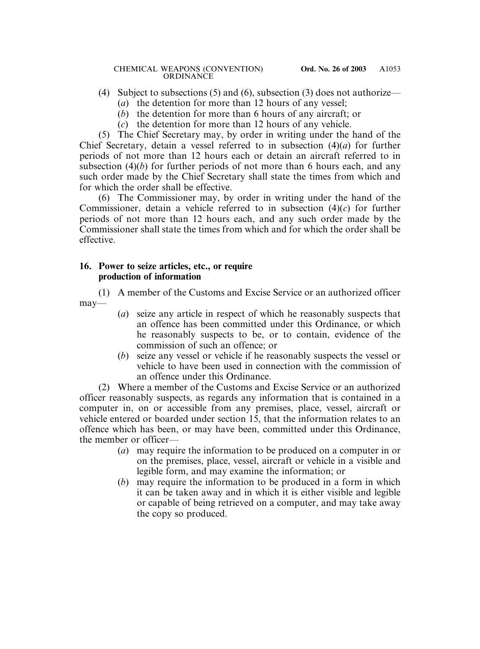- (4) Subject to subsections (5) and (6), subsection (3) does not authorize—
	- (*a*) the detention for more than 12 hours of any vessel;
	- (*b*) the detention for more than 6 hours of any aircraft; or
	- (*c*) the detention for more than 12 hours of any vehicle.

(5) The Chief Secretary may, by order in writing under the hand of the Chief Secretary, detain a vessel referred to in subsection (4)(*a*) for further periods of not more than 12 hours each or detain an aircraft referred to in subsection (4)(*b*) for further periods of not more than 6 hours each, and any such order made by the Chief Secretary shall state the times from which and for which the order shall be effective.

(6) The Commissioner may, by order in writing under the hand of the Commissioner, detain a vehicle referred to in subsection (4)(*c*) for further periods of not more than 12 hours each, and any such order made by the Commissioner shall state the times from which and for which the order shall be effective.

#### **16. Power to seize articles, etc., or require production of information**

(1) A member of the Customs and Excise Service or an authorized officer may—

- (*a*) seize any article in respect of which he reasonably suspects that an offence has been committed under this Ordinance, or which he reasonably suspects to be, or to contain, evidence of the commission of such an offence; or
- (*b*) seize any vessel or vehicle if he reasonably suspects the vessel or vehicle to have been used in connection with the commission of an offence under this Ordinance.

(2) Where a member of the Customs and Excise Service or an authorized officer reasonably suspects, as regards any information that is contained in a computer in, on or accessible from any premises, place, vessel, aircraft or vehicle entered or boarded under section 15, that the information relates to an offence which has been, or may have been, committed under this Ordinance, the member or officer—

- (*a*) may require the information to be produced on a computer in or on the premises, place, vessel, aircraft or vehicle in a visible and legible form, and may examine the information; or
- (*b*) may require the information to be produced in a form in which it can be taken away and in which it is either visible and legible or capable of being retrieved on a computer, and may take away the copy so produced.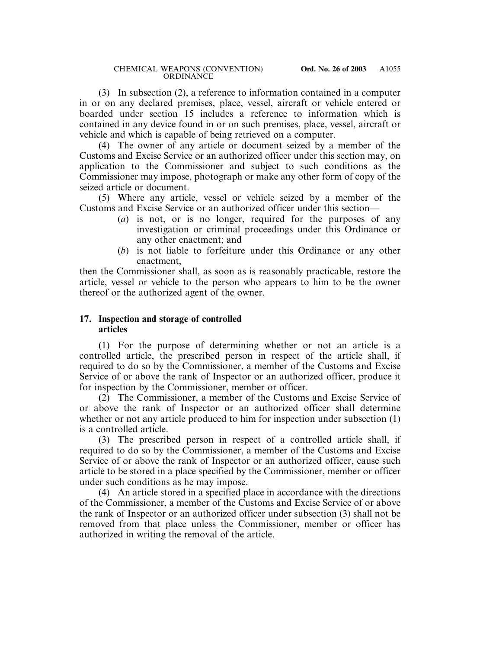(3) In subsection (2), a reference to information contained in a computer in or on any declared premises, place, vessel, aircraft or vehicle entered or boarded under section 15 includes a reference to information which is contained in any device found in or on such premises, place, vessel, aircraft or vehicle and which is capable of being retrieved on a computer.

(4) The owner of any article or document seized by a member of the Customs and Excise Service or an authorized officer under this section may, on application to the Commissioner and subject to such conditions as the Commissioner may impose, photograph or make any other form of copy of the seized article or document.

(5) Where any article, vessel or vehicle seized by a member of the Customs and Excise Service or an authorized officer under this section—

- (*a*) is not, or is no longer, required for the purposes of any investigation or criminal proceedings under this Ordinance or any other enactment; and
- (*b*) is not liable to forfeiture under this Ordinance or any other enactment,

then the Commissioner shall, as soon as is reasonably practicable, restore the article, vessel or vehicle to the person who appears to him to be the owner thereof or the authorized agent of the owner.

## **17. Inspection and storage of controlled articles**

(1) For the purpose of determining whether or not an article is a controlled article, the prescribed person in respect of the article shall, if required to do so by the Commissioner, a member of the Customs and Excise Service of or above the rank of Inspector or an authorized officer, produce it for inspection by the Commissioner, member or officer.

(2) The Commissioner, a member of the Customs and Excise Service of or above the rank of Inspector or an authorized officer shall determine whether or not any article produced to him for inspection under subsection (1) is a controlled article.

(3) The prescribed person in respect of a controlled article shall, if required to do so by the Commissioner, a member of the Customs and Excise Service of or above the rank of Inspector or an authorized officer, cause such article to be stored in a place specified by the Commissioner, member or officer under such conditions as he may impose.

(4) An article stored in a specified place in accordance with the directions of the Commissioner, a member of the Customs and Excise Service of or above the rank of Inspector or an authorized officer under subsection (3) shall not be removed from that place unless the Commissioner, member or officer has authorized in writing the removal of the article.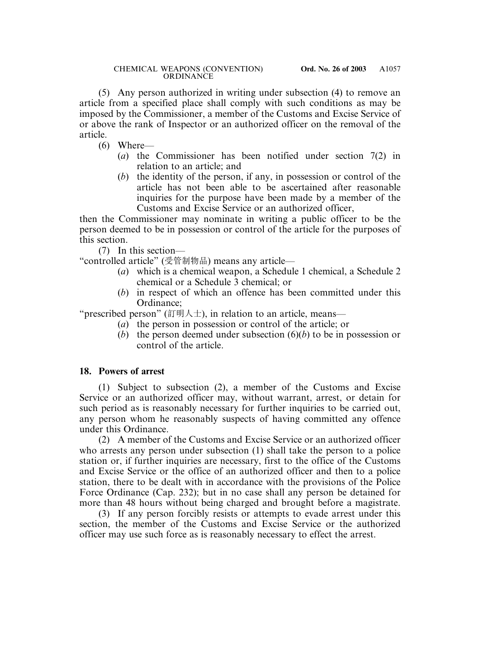(5) Any person authorized in writing under subsection (4) to remove an article from a specified place shall comply with such conditions as may be imposed by the Commissioner, a member of the Customs and Excise Service of or above the rank of Inspector or an authorized officer on the removal of the article.

- (6) Where—
	- (*a*) the Commissioner has been notified under section 7(2) in relation to an article; and
	- (*b*) the identity of the person, if any, in possession or control of the article has not been able to be ascertained after reasonable inquiries for the purpose have been made by a member of the Customs and Excise Service or an authorized officer,

then the Commissioner may nominate in writing a public officer to be the person deemed to be in possession or control of the article for the purposes of this section.

(7) In this section—

"controlled article" (受管制物品) means any article—

- (*a*) which is a chemical weapon, a Schedule 1 chemical, a Schedule 2 chemical or a Schedule 3 chemical; or
- (*b*) in respect of which an offence has been committed under this Ordinance;

"prescribed person" (訂明人士), in relation to an article, means—

- (*a*) the person in possession or control of the article; or
- (*b*) the person deemed under subsection (6)(*b*) to be in possession or control of the article.

# **18. Powers of arrest**

(1) Subject to subsection (2), a member of the Customs and Excise Service or an authorized officer may, without warrant, arrest, or detain for such period as is reasonably necessary for further inquiries to be carried out, any person whom he reasonably suspects of having committed any offence under this Ordinance.

(2) A member of the Customs and Excise Service or an authorized officer who arrests any person under subsection (1) shall take the person to a police station or, if further inquiries are necessary, first to the office of the Customs and Excise Service or the office of an authorized officer and then to a police station, there to be dealt with in accordance with the provisions of the Police Force Ordinance (Cap. 232); but in no case shall any person be detained for more than 48 hours without being charged and brought before a magistrate.

(3) If any person forcibly resists or attempts to evade arrest under this section, the member of the Customs and Excise Service or the authorized officer may use such force as is reasonably necessary to effect the arrest.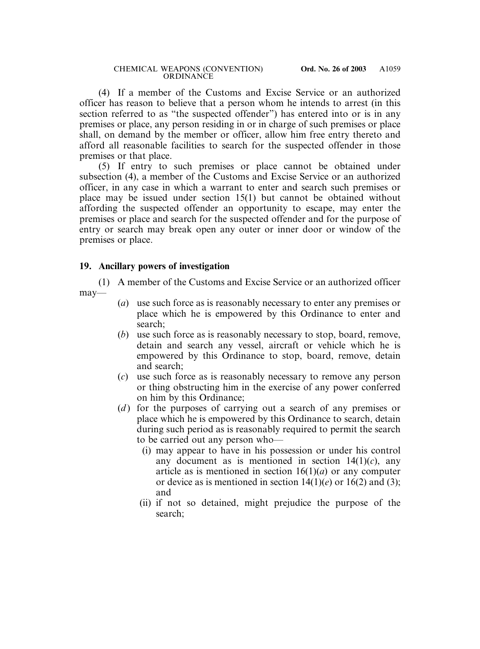(4) If a member of the Customs and Excise Service or an authorized officer has reason to believe that a person whom he intends to arrest (in this section referred to as "the suspected offender") has entered into or is in any premises or place, any person residing in or in charge of such premises or place shall, on demand by the member or officer, allow him free entry thereto and afford all reasonable facilities to search for the suspected offender in those premises or that place.

(5) If entry to such premises or place cannot be obtained under subsection (4), a member of the Customs and Excise Service or an authorized officer, in any case in which a warrant to enter and search such premises or place may be issued under section 15(1) but cannot be obtained without affording the suspected offender an opportunity to escape, may enter the premises or place and search for the suspected offender and for the purpose of entry or search may break open any outer or inner door or window of the premises or place.

## **19. Ancillary powers of investigation**

(1) A member of the Customs and Excise Service or an authorized officer may—

- (*a*) use such force as is reasonably necessary to enter any premises or place which he is empowered by this Ordinance to enter and search;
- (*b*) use such force as is reasonably necessary to stop, board, remove, detain and search any vessel, aircraft or vehicle which he is empowered by this Ordinance to stop, board, remove, detain and search;
- (*c*) use such force as is reasonably necessary to remove any person or thing obstructing him in the exercise of any power conferred on him by this Ordinance;
- (*d*) for the purposes of carrying out a search of any premises or place which he is empowered by this Ordinance to search, detain during such period as is reasonably required to permit the search to be carried out any person who—
	- (i) may appear to have in his possession or under his control any document as is mentioned in section  $14(1)(c)$ , any article as is mentioned in section  $16(1)(a)$  or any computer or device as is mentioned in section  $14(1)(e)$  or  $16(2)$  and (3); and
	- (ii) if not so detained, might prejudice the purpose of the search;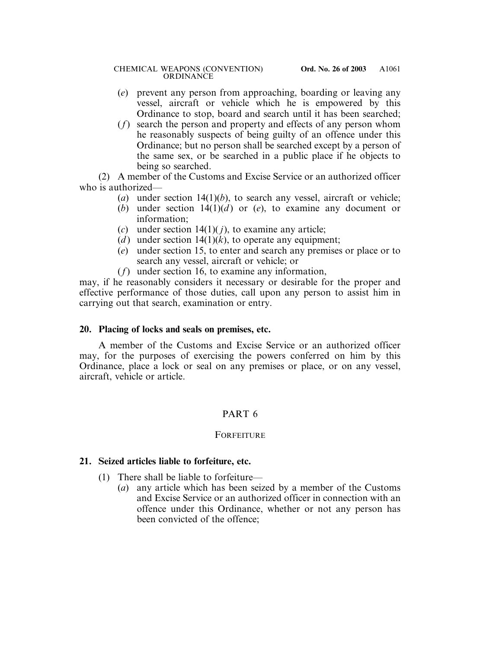- (*e*) prevent any person from approaching, boarding or leaving any vessel, aircraft or vehicle which he is empowered by this Ordinance to stop, board and search until it has been searched;
- (*f*) search the person and property and effects of any person whom he reasonably suspects of being guilty of an offence under this Ordinance; but no person shall be searched except by a person of the same sex, or be searched in a public place if he objects to being so searched.

(2) A member of the Customs and Excise Service or an authorized officer who is authorized—

- (*a*) under section 14(1)(*b*), to search any vessel, aircraft or vehicle;
- (*b*) under section  $14(1)(d)$  or (*e*), to examine any document or information;
- (*c*) under section 14(1)( *j*), to examine any article;
- (*d*) under section  $14(1)(k)$ , to operate any equipment;
- (*e*) under section 15, to enter and search any premises or place or to search any vessel, aircraft or vehicle; or
- (*f*) under section 16, to examine any information,

may, if he reasonably considers it necessary or desirable for the proper and effective performance of those duties, call upon any person to assist him in carrying out that search, examination or entry.

## **20. Placing of locks and seals on premises, etc.**

A member of the Customs and Excise Service or an authorized officer may, for the purposes of exercising the powers conferred on him by this Ordinance, place a lock or seal on any premises or place, or on any vessel, aircraft, vehicle or article.

## PART 6

## **FORFEITURE**

## **21. Seized articles liable to forfeiture, etc.**

- (1) There shall be liable to forfeiture—
	- (*a*) any article which has been seized by a member of the Customs and Excise Service or an authorized officer in connection with an offence under this Ordinance, whether or not any person has been convicted of the offence;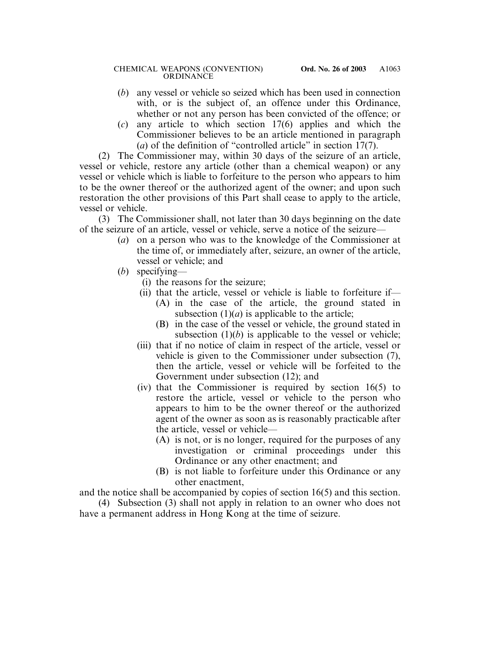- (*b*) any vessel or vehicle so seized which has been used in connection with, or is the subject of, an offence under this Ordinance, whether or not any person has been convicted of the offence; or
- (*c*) any article to which section 17(6) applies and which the Commissioner believes to be an article mentioned in paragraph (*a*) of the definition of "controlled article" in section 17(7).

(2) The Commissioner may, within 30 days of the seizure of an article, vessel or vehicle, restore any article (other than a chemical weapon) or any vessel or vehicle which is liable to forfeiture to the person who appears to him to be the owner thereof or the authorized agent of the owner; and upon such restoration the other provisions of this Part shall cease to apply to the article, vessel or vehicle.

(3) The Commissioner shall, not later than 30 days beginning on the date of the seizure of an article, vessel or vehicle, serve a notice of the seizure—

- (*a*) on a person who was to the knowledge of the Commissioner at the time of, or immediately after, seizure, an owner of the article, vessel or vehicle; and
- (*b*) specifying—
	- (i) the reasons for the seizure;
	- (ii) that the article, vessel or vehicle is liable to forfeiture if—
		- (A) in the case of the article, the ground stated in subsection  $(1)(a)$  is applicable to the article;
		- (B) in the case of the vessel or vehicle, the ground stated in subsection  $(1)(b)$  is applicable to the vessel or vehicle;
	- (iii) that if no notice of claim in respect of the article, vessel or vehicle is given to the Commissioner under subsection (7), then the article, vessel or vehicle will be forfeited to the Government under subsection (12); and
	- (iv) that the Commissioner is required by section 16(5) to restore the article, vessel or vehicle to the person who appears to him to be the owner thereof or the authorized agent of the owner as soon as is reasonably practicable after the article, vessel or vehicle—
		- (A) is not, or is no longer, required for the purposes of any investigation or criminal proceedings under this Ordinance or any other enactment; and
		- (B) is not liable to forfeiture under this Ordinance or any other enactment,

and the notice shall be accompanied by copies of section 16(5) and this section.

(4) Subsection (3) shall not apply in relation to an owner who does not have a permanent address in Hong Kong at the time of seizure.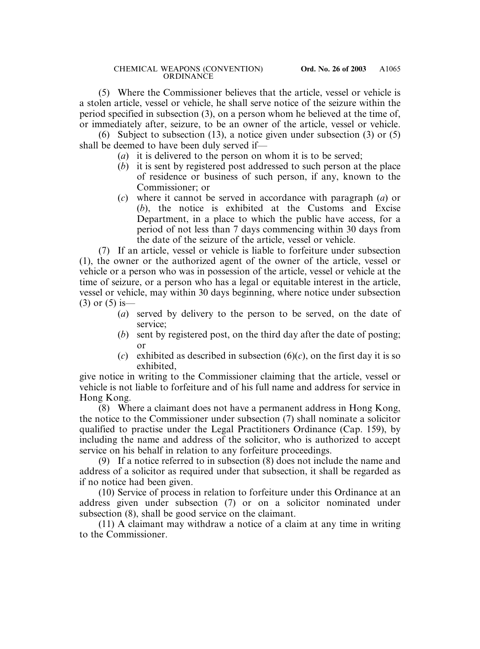(5) Where the Commissioner believes that the article, vessel or vehicle is a stolen article, vessel or vehicle, he shall serve notice of the seizure within the period specified in subsection (3), on a person whom he believed at the time of, or immediately after, seizure, to be an owner of the article, vessel or vehicle.

(6) Subject to subsection (13), a notice given under subsection (3) or (5) shall be deemed to have been duly served if—

- (*a*) it is delivered to the person on whom it is to be served;
- (*b*) it is sent by registered post addressed to such person at the place of residence or business of such person, if any, known to the Commissioner; or
- (*c*) where it cannot be served in accordance with paragraph (*a*) or (*b*), the notice is exhibited at the Customs and Excise Department, in a place to which the public have access, for a period of not less than 7 days commencing within 30 days from the date of the seizure of the article, vessel or vehicle.

(7) If an article, vessel or vehicle is liable to forfeiture under subsection (1), the owner or the authorized agent of the owner of the article, vessel or vehicle or a person who was in possession of the article, vessel or vehicle at the time of seizure, or a person who has a legal or equitable interest in the article, vessel or vehicle, may within 30 days beginning, where notice under subsection  $(3)$  or  $(5)$  is —

- (*a*) served by delivery to the person to be served, on the date of service;
- (*b*) sent by registered post, on the third day after the date of posting; or
- (*c*) exhibited as described in subsection  $(6)(c)$ , on the first day it is so exhibited,

give notice in writing to the Commissioner claiming that the article, vessel or vehicle is not liable to forfeiture and of his full name and address for service in Hong Kong.

(8) Where a claimant does not have a permanent address in Hong Kong, the notice to the Commissioner under subsection (7) shall nominate a solicitor qualified to practise under the Legal Practitioners Ordinance (Cap. 159), by including the name and address of the solicitor, who is authorized to accept service on his behalf in relation to any forfeiture proceedings.

(9) If a notice referred to in subsection (8) does not include the name and address of a solicitor as required under that subsection, it shall be regarded as if no notice had been given.

(10) Service of process in relation to forfeiture under this Ordinance at an address given under subsection (7) or on a solicitor nominated under subsection (8), shall be good service on the claimant.

(11) A claimant may withdraw a notice of a claim at any time in writing to the Commissioner.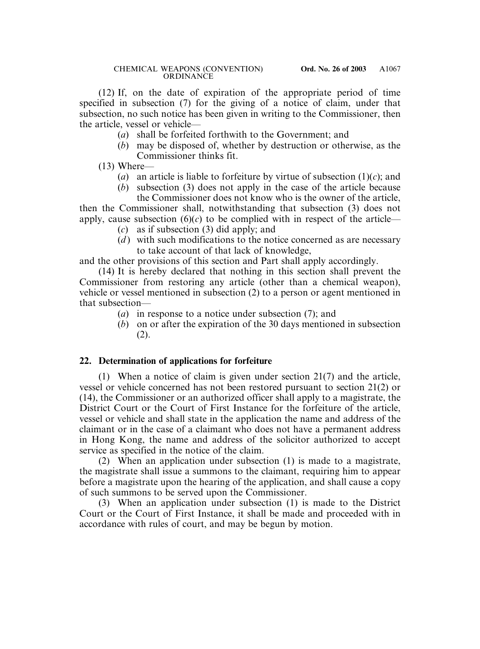(12) If, on the date of expiration of the appropriate period of time specified in subsection (7) for the giving of a notice of claim, under that subsection, no such notice has been given in writing to the Commissioner, then the article, vessel or vehicle—

- (*a*) shall be forfeited forthwith to the Government; and
- (*b*) may be disposed of, whether by destruction or otherwise, as the Commissioner thinks fit.

 $(13)$  Where—

- (*a*) an article is liable to forfeiture by virtue of subsection  $(1)(c)$ ; and
- (*b*) subsection (3) does not apply in the case of the article because the Commissioner does not know who is the owner of the article,

then the Commissioner shall, notwithstanding that subsection (3) does not apply, cause subsection  $(6)(c)$  to be complied with in respect of the article—

- (*c*) as if subsection (3) did apply; and
- $(d)$  with such modifications to the notice concerned as are necessary to take account of that lack of knowledge,

and the other provisions of this section and Part shall apply accordingly.

(14) It is hereby declared that nothing in this section shall prevent the Commissioner from restoring any article (other than a chemical weapon), vehicle or vessel mentioned in subsection (2) to a person or agent mentioned in that subsection—

- (*a*) in response to a notice under subsection (7); and
- (*b*) on or after the expiration of the 30 days mentioned in subsection (2).

## **22. Determination of applications for forfeiture**

(1) When a notice of claim is given under section 21(7) and the article, vessel or vehicle concerned has not been restored pursuant to section 21(2) or (14), the Commissioner or an authorized officer shall apply to a magistrate, the District Court or the Court of First Instance for the forfeiture of the article, vessel or vehicle and shall state in the application the name and address of the claimant or in the case of a claimant who does not have a permanent address in Hong Kong, the name and address of the solicitor authorized to accept service as specified in the notice of the claim.

(2) When an application under subsection (1) is made to a magistrate, the magistrate shall issue a summons to the claimant, requiring him to appear before a magistrate upon the hearing of the application, and shall cause a copy of such summons to be served upon the Commissioner.

(3) When an application under subsection (1) is made to the District Court or the Court of First Instance, it shall be made and proceeded with in accordance with rules of court, and may be begun by motion.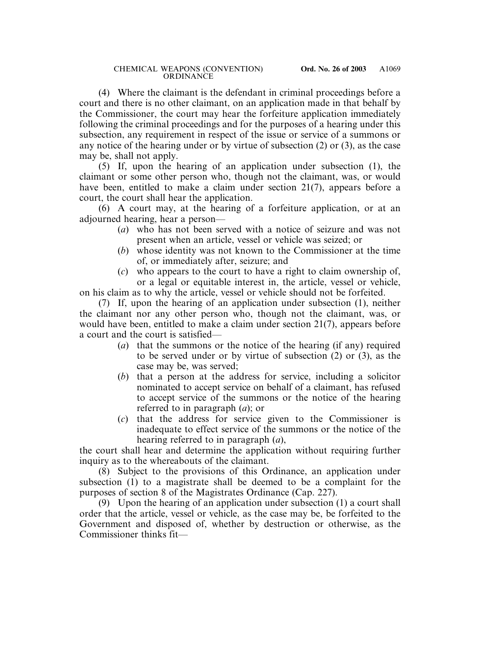(4) Where the claimant is the defendant in criminal proceedings before a court and there is no other claimant, on an application made in that behalf by the Commissioner, the court may hear the forfeiture application immediately following the criminal proceedings and for the purposes of a hearing under this subsection, any requirement in respect of the issue or service of a summons or any notice of the hearing under or by virtue of subsection (2) or (3), as the case may be, shall not apply.

(5) If, upon the hearing of an application under subsection (1), the claimant or some other person who, though not the claimant, was, or would have been, entitled to make a claim under section 21(7), appears before a court, the court shall hear the application.

(6) A court may, at the hearing of a forfeiture application, or at an adjourned hearing, hear a person—

- (*a*) who has not been served with a notice of seizure and was not present when an article, vessel or vehicle was seized; or
- (*b*) whose identity was not known to the Commissioner at the time of, or immediately after, seizure; and
- (*c*) who appears to the court to have a right to claim ownership of, or a legal or equitable interest in, the article, vessel or vehicle,

on his claim as to why the article, vessel or vehicle should not be forfeited.

(7) If, upon the hearing of an application under subsection (1), neither the claimant nor any other person who, though not the claimant, was, or would have been, entitled to make a claim under section 21(7), appears before a court and the court is satisfied—

- (*a*) that the summons or the notice of the hearing (if any) required to be served under or by virtue of subsection (2) or (3), as the case may be, was served;
- (*b*) that a person at the address for service, including a solicitor nominated to accept service on behalf of a claimant, has refused to accept service of the summons or the notice of the hearing referred to in paragraph (*a*); or
- (*c*) that the address for service given to the Commissioner is inadequate to effect service of the summons or the notice of the hearing referred to in paragraph (*a*),

the court shall hear and determine the application without requiring further inquiry as to the whereabouts of the claimant.

(8) Subject to the provisions of this Ordinance, an application under subsection (1) to a magistrate shall be deemed to be a complaint for the purposes of section 8 of the Magistrates Ordinance (Cap. 227).

(9) Upon the hearing of an application under subsection (1) a court shall order that the article, vessel or vehicle, as the case may be, be forfeited to the Government and disposed of, whether by destruction or otherwise, as the Commissioner thinks fit—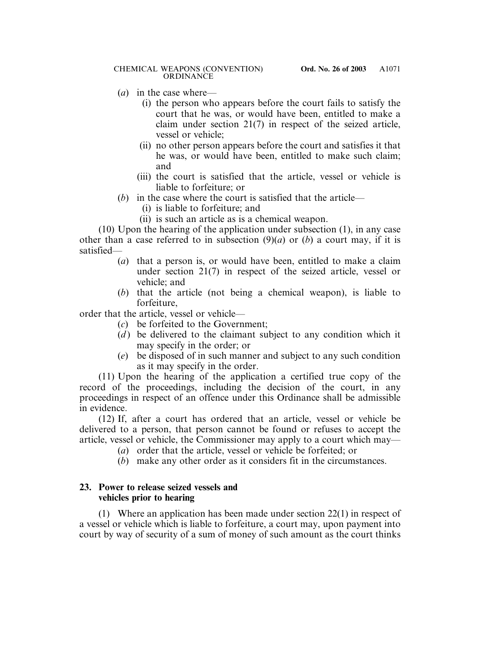- (*a*) in the case where—
	- (i) the person who appears before the court fails to satisfy the court that he was, or would have been, entitled to make a claim under section 21(7) in respect of the seized article, vessel or vehicle;
	- (ii) no other person appears before the court and satisfies it that he was, or would have been, entitled to make such claim; and
	- (iii) the court is satisfied that the article, vessel or vehicle is liable to forfeiture; or
- (b) in the case where the court is satisfied that the article—
	- (i) is liable to forfeiture; and
	- (ii) is such an article as is a chemical weapon.

(10) Upon the hearing of the application under subsection (1), in any case other than a case referred to in subsection  $(9)(a)$  or  $(b)$  a court may, if it is satisfied—

- (*a*) that a person is, or would have been, entitled to make a claim under section 21(7) in respect of the seized article, vessel or vehicle; and
- (*b*) that the article (not being a chemical weapon), is liable to forfeiture,

order that the article, vessel or vehicle—

- (*c*) be forfeited to the Government;
- $(d)$  be delivered to the claimant subject to any condition which it may specify in the order; or
- (*e*) be disposed of in such manner and subject to any such condition as it may specify in the order.

(11) Upon the hearing of the application a certified true copy of the record of the proceedings, including the decision of the court, in any proceedings in respect of an offence under this Ordinance shall be admissible in evidence.

(12) If, after a court has ordered that an article, vessel or vehicle be delivered to a person, that person cannot be found or refuses to accept the article, vessel or vehicle, the Commissioner may apply to a court which may—

- (*a*) order that the article, vessel or vehicle be forfeited; or
- (*b*) make any other order as it considers fit in the circumstances.

## **23. Power to release seized vessels and vehicles prior to hearing**

(1) Where an application has been made under section 22(1) in respect of a vessel or vehicle which is liable to forfeiture, a court may, upon payment into court by way of security of a sum of money of such amount as the court thinks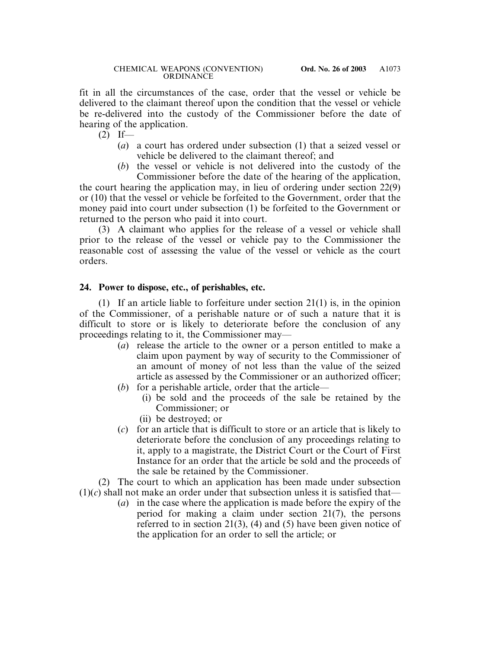fit in all the circumstances of the case, order that the vessel or vehicle be delivered to the claimant thereof upon the condition that the vessel or vehicle be re-delivered into the custody of the Commissioner before the date of hearing of the application.

 $(2)$  If—

- (*a*) a court has ordered under subsection (1) that a seized vessel or vehicle be delivered to the claimant thereof; and
- (*b*) the vessel or vehicle is not delivered into the custody of the Commissioner before the date of the hearing of the application,

the court hearing the application may, in lieu of ordering under section 22(9) or (10) that the vessel or vehicle be forfeited to the Government, order that the money paid into court under subsection (1) be forfeited to the Government or returned to the person who paid it into court.

(3) A claimant who applies for the release of a vessel or vehicle shall prior to the release of the vessel or vehicle pay to the Commissioner the reasonable cost of assessing the value of the vessel or vehicle as the court orders.

## **24. Power to dispose, etc., of perishables, etc.**

(1) If an article liable to forfeiture under section 21(1) is, in the opinion of the Commissioner, of a perishable nature or of such a nature that it is difficult to store or is likely to deteriorate before the conclusion of any proceedings relating to it, the Commissioner may—

- (*a*) release the article to the owner or a person entitled to make a claim upon payment by way of security to the Commissioner of an amount of money of not less than the value of the seized article as assessed by the Commissioner or an authorized officer;
- (*b*) for a perishable article, order that the article—
	- (i) be sold and the proceeds of the sale be retained by the Commissioner; or
	- (ii) be destroyed; or
- (*c*) for an article that is difficult to store or an article that is likely to deteriorate before the conclusion of any proceedings relating to it, apply to a magistrate, the District Court or the Court of First Instance for an order that the article be sold and the proceeds of the sale be retained by the Commissioner.

(2) The court to which an application has been made under subsection  $(1)(c)$  shall not make an order under that subsection unless it is satisfied that—

> (*a*) in the case where the application is made before the expiry of the period for making a claim under section 21(7), the persons referred to in section 21(3), (4) and (5) have been given notice of the application for an order to sell the article; or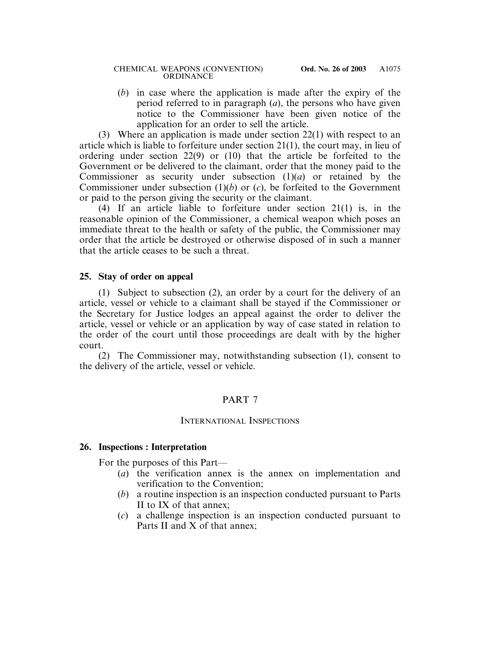(*b*) in case where the application is made after the expiry of the period referred to in paragraph (*a*), the persons who have given notice to the Commissioner have been given notice of the application for an order to sell the article.

(3) Where an application is made under section 22(1) with respect to an article which is liable to forfeiture under section 21(1), the court may, in lieu of ordering under section 22(9) or (10) that the article be forfeited to the Government or be delivered to the claimant, order that the money paid to the Commissioner as security under subsection (1)(*a*) or retained by the Commissioner under subsection (1)(*b*) or (*c*), be forfeited to the Government or paid to the person giving the security or the claimant.

(4) If an article liable to forfeiture under section 21(1) is, in the reasonable opinion of the Commissioner, a chemical weapon which poses an immediate threat to the health or safety of the public, the Commissioner may order that the article be destroyed or otherwise disposed of in such a manner that the article ceases to be such a threat.

## **25. Stay of order on appeal**

(1) Subject to subsection (2), an order by a court for the delivery of an article, vessel or vehicle to a claimant shall be stayed if the Commissioner or the Secretary for Justice lodges an appeal against the order to deliver the article, vessel or vehicle or an application by way of case stated in relation to the order of the court until those proceedings are dealt with by the higher court.

(2) The Commissioner may, notwithstanding subsection (1), consent to the delivery of the article, vessel or vehicle.

## PART 7

## INTERNATIONAL INSPECTIONS

# **26. Inspections : Interpretation**

For the purposes of this Part—

- (*a*) the verification annex is the annex on implementation and verification to the Convention;
- (*b*) a routine inspection is an inspection conducted pursuant to Parts II to IX of that annex;
- (*c*) a challenge inspection is an inspection conducted pursuant to Parts II and X of that annex;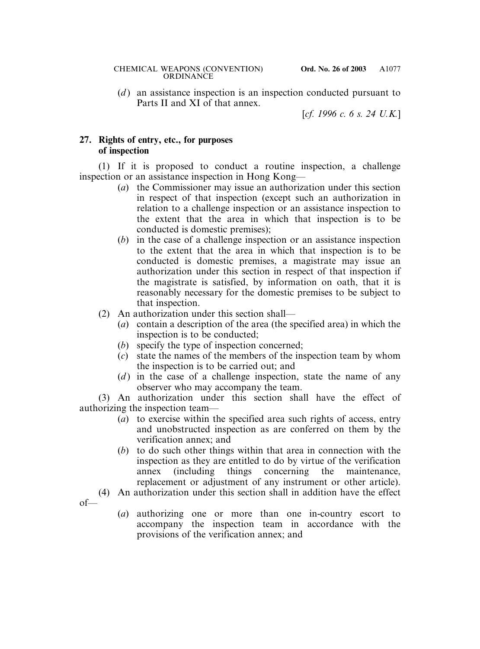(*d*) an assistance inspection is an inspection conducted pursuant to Parts II and XI of that annex.

[*cf. 1996 c. 6 s. 24 U.K.*]

# **27. Rights of entry, etc., for purposes of inspection**

of—

(1) If it is proposed to conduct a routine inspection, a challenge inspection or an assistance inspection in Hong Kong—

- (*a*) the Commissioner may issue an authorization under this section in respect of that inspection (except such an authorization in relation to a challenge inspection or an assistance inspection to the extent that the area in which that inspection is to be conducted is domestic premises);
- (*b*) in the case of a challenge inspection or an assistance inspection to the extent that the area in which that inspection is to be conducted is domestic premises, a magistrate may issue an authorization under this section in respect of that inspection if the magistrate is satisfied, by information on oath, that it is reasonably necessary for the domestic premises to be subject to that inspection.
- (2) An authorization under this section shall—
	- (*a*) contain a description of the area (the specified area) in which the inspection is to be conducted;
	- (*b*) specify the type of inspection concerned;
	- (*c*) state the names of the members of the inspection team by whom the inspection is to be carried out; and
	- (*d*) in the case of a challenge inspection, state the name of any observer who may accompany the team.

(3) An authorization under this section shall have the effect of authorizing the inspection team—

- (*a*) to exercise within the specified area such rights of access, entry and unobstructed inspection as are conferred on them by the verification annex; and
- (*b*) to do such other things within that area in connection with the inspection as they are entitled to do by virtue of the verification annex (including things concerning the maintenance, replacement or adjustment of any instrument or other article).
- (4) An authorization under this section shall in addition have the effect
	- (*a*) authorizing one or more than one in-country escort to accompany the inspection team in accordance with the provisions of the verification annex; and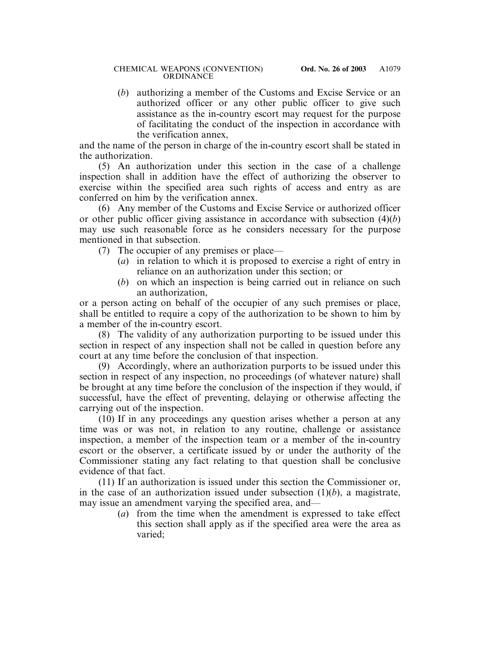#### CHEMICAL WEAPONS (CONVENTION) **Ord. No. 26 of 2003** ORDINANCE

(*b*) authorizing a member of the Customs and Excise Service or an authorized officer or any other public officer to give such assistance as the in-country escort may request for the purpose of facilitating the conduct of the inspection in accordance with the verification annex,

and the name of the person in charge of the in-country escort shall be stated in the authorization.

(5) An authorization under this section in the case of a challenge inspection shall in addition have the effect of authorizing the observer to exercise within the specified area such rights of access and entry as are conferred on him by the verification annex.

(6) Any member of the Customs and Excise Service or authorized officer or other public officer giving assistance in accordance with subsection (4)(*b*) may use such reasonable force as he considers necessary for the purpose mentioned in that subsection.

- (7) The occupier of any premises or place—
	- (*a*) in relation to which it is proposed to exercise a right of entry in reliance on an authorization under this section; or
	- (*b*) on which an inspection is being carried out in reliance on such an authorization,

or a person acting on behalf of the occupier of any such premises or place, shall be entitled to require a copy of the authorization to be shown to him by a member of the in-country escort.

(8) The validity of any authorization purporting to be issued under this section in respect of any inspection shall not be called in question before any court at any time before the conclusion of that inspection.

(9) Accordingly, where an authorization purports to be issued under this section in respect of any inspection, no proceedings (of whatever nature) shall be brought at any time before the conclusion of the inspection if they would, if successful, have the effect of preventing, delaying or otherwise affecting the carrying out of the inspection.

(10) If in any proceedings any question arises whether a person at any time was or was not, in relation to any routine, challenge or assistance inspection, a member of the inspection team or a member of the in-country escort or the observer, a certificate issued by or under the authority of the Commissioner stating any fact relating to that question shall be conclusive evidence of that fact.

(11) If an authorization is issued under this section the Commissioner or, in the case of an authorization issued under subsection (1)(*b*), a magistrate, may issue an amendment varying the specified area, and—

(*a*) from the time when the amendment is expressed to take effect this section shall apply as if the specified area were the area as varied;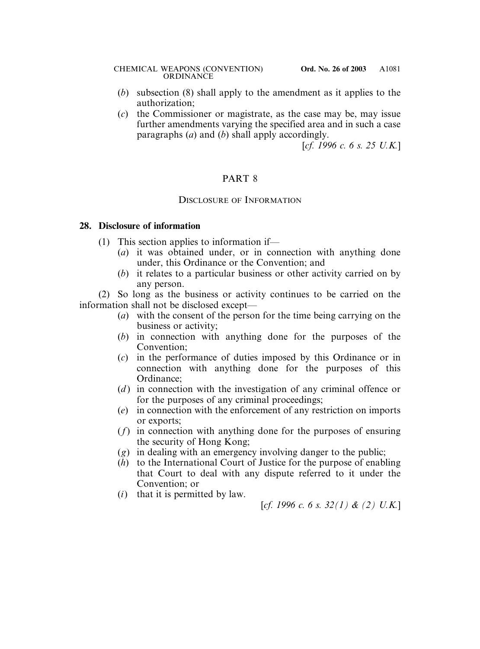- (*b*) subsection (8) shall apply to the amendment as it applies to the authorization;
- (*c*) the Commissioner or magistrate, as the case may be, may issue further amendments varying the specified area and in such a case paragraphs (*a*) and (*b*) shall apply accordingly.

[*cf. 1996 c. 6 s. 25 U.K.*]

# PART 8

## DISCLOSURE OF INFORMATION

#### **28. Disclosure of information**

- (1) This section applies to information if—
	- (*a*) it was obtained under, or in connection with anything done under, this Ordinance or the Convention; and
	- (*b*) it relates to a particular business or other activity carried on by any person.

(2) So long as the business or activity continues to be carried on the information shall not be disclosed except—

- (*a*) with the consent of the person for the time being carrying on the business or activity;
- (*b*) in connection with anything done for the purposes of the Convention;
- (*c*) in the performance of duties imposed by this Ordinance or in connection with anything done for the purposes of this Ordinance;
- (*d*) in connection with the investigation of any criminal offence or for the purposes of any criminal proceedings;
- (*e*) in connection with the enforcement of any restriction on imports or exports;
- (*f*) in connection with anything done for the purposes of ensuring the security of Hong Kong;
- (*g*) in dealing with an emergency involving danger to the public;
- (*h*) to the International Court of Justice for the purpose of enabling that Court to deal with any dispute referred to it under the Convention; or
- (*i*) that it is permitted by law.

[*cf. 1996 c. 6 s. 32(1) & (2) U.K.*]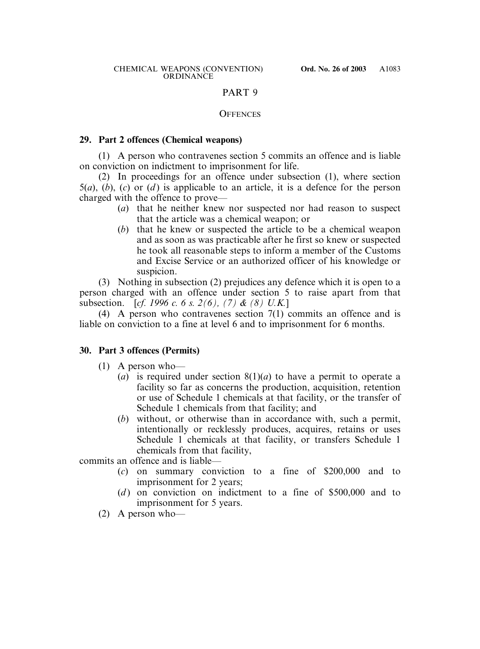## PART 9

#### **OFFENCES**

#### **29. Part 2 offences (Chemical weapons)**

(1) A person who contravenes section 5 commits an offence and is liable on conviction on indictment to imprisonment for life.

(2) In proceedings for an offence under subsection (1), where section 5(*a*), (*b*), (*c*) or (*d* ) is applicable to an article, it is a defence for the person charged with the offence to prove—

- (*a*) that he neither knew nor suspected nor had reason to suspect that the article was a chemical weapon; or
- (*b*) that he knew or suspected the article to be a chemical weapon and as soon as was practicable after he first so knew or suspected he took all reasonable steps to inform a member of the Customs and Excise Service or an authorized officer of his knowledge or suspicion.

(3) Nothing in subsection (2) prejudices any defence which it is open to a person charged with an offence under section 5 to raise apart from that subsection. [*cf. 1996 c. 6 s. 2(6), (7) & (8) U.K.*]

(4) A person who contravenes section 7(1) commits an offence and is liable on conviction to a fine at level 6 and to imprisonment for 6 months.

## **30. Part 3 offences (Permits)**

- (1) A person who—
	- (*a*) is required under section 8(1)(*a*) to have a permit to operate a facility so far as concerns the production, acquisition, retention or use of Schedule 1 chemicals at that facility, or the transfer of Schedule 1 chemicals from that facility; and
	- (*b*) without, or otherwise than in accordance with, such a permit, intentionally or recklessly produces, acquires, retains or uses Schedule 1 chemicals at that facility, or transfers Schedule 1 chemicals from that facility,

commits an offence and is liable—

- (*c*) on summary conviction to a fine of \$200,000 and to imprisonment for 2 years;
- (*d*) on conviction on indictment to a fine of \$500,000 and to imprisonment for 5 years.
- (2) A person who—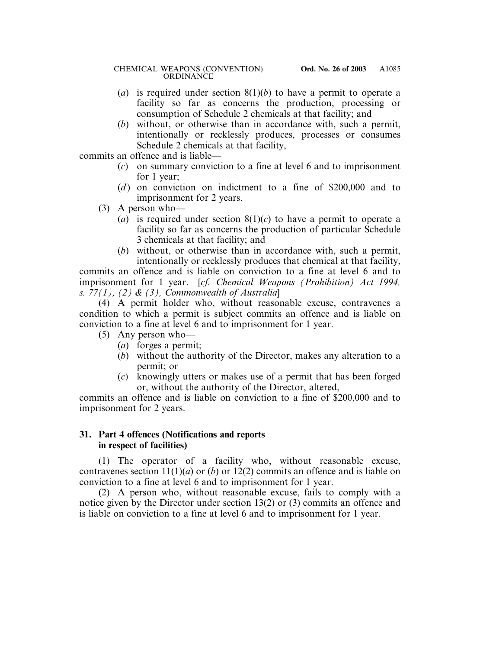- (*a*) is required under section 8(1)(*b*) to have a permit to operate a facility so far as concerns the production, processing or consumption of Schedule 2 chemicals at that facility; and
- (*b*) without, or otherwise than in accordance with, such a permit, intentionally or recklessly produces, processes or consumes Schedule 2 chemicals at that facility,

commits an offence and is liable—

- (*c*) on summary conviction to a fine at level 6 and to imprisonment for 1 year;
- (*d*) on conviction on indictment to a fine of \$200,000 and to imprisonment for 2 years.
- (3) A person who—
	- (*a*) is required under section  $8(1)(c)$  to have a permit to operate a facility so far as concerns the production of particular Schedule 3 chemicals at that facility; and
	- (*b*) without, or otherwise than in accordance with, such a permit, intentionally or recklessly produces that chemical at that facility,

commits an offence and is liable on conviction to a fine at level 6 and to imprisonment for 1 year. [*cf. Chemical Weapons (Prohibition) Act 1994, s. 77(1), (2) & (3), Commonwealth of Australia*]

(4) A permit holder who, without reasonable excuse, contravenes a condition to which a permit is subject commits an offence and is liable on conviction to a fine at level 6 and to imprisonment for 1 year.

- (5) Any person who—
	- (*a*) forges a permit;
	- (*b*) without the authority of the Director, makes any alteration to a permit; or
	- (*c*) knowingly utters or makes use of a permit that has been forged or, without the authority of the Director, altered,

commits an offence and is liable on conviction to a fine of \$200,000 and to imprisonment for 2 years.

## **31. Part 4 offences (Notifications and reports in respect of facilities)**

(1) The operator of a facility who, without reasonable excuse, contravenes section  $11(1)(a)$  or  $(b)$  or  $12(2)$  commits an offence and is liable on conviction to a fine at level 6 and to imprisonment for 1 year.

(2) A person who, without reasonable excuse, fails to comply with a notice given by the Director under section 13(2) or (3) commits an offence and is liable on conviction to a fine at level 6 and to imprisonment for 1 year.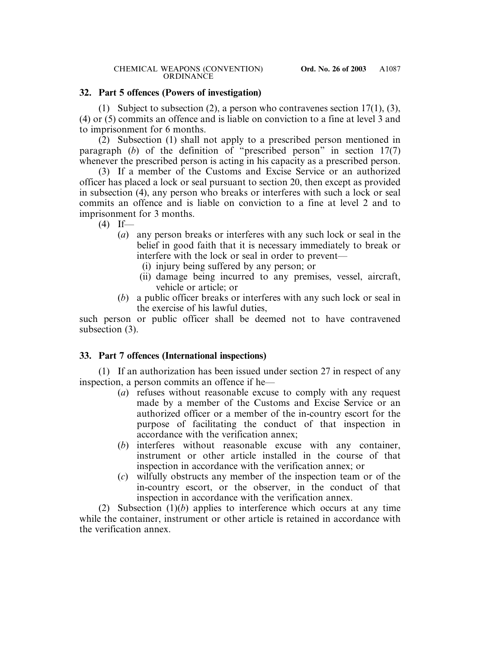## **32. Part 5 offences (Powers of investigation)**

(1) Subject to subsection (2), a person who contravenes section 17(1), (3), (4) or (5) commits an offence and is liable on conviction to a fine at level 3 and to imprisonment for 6 months.

(2) Subsection (1) shall not apply to a prescribed person mentioned in paragraph (*b*) of the definition of "prescribed person" in section 17(7) whenever the prescribed person is acting in his capacity as a prescribed person.

(3) If a member of the Customs and Excise Service or an authorized officer has placed a lock or seal pursuant to section 20, then except as provided in subsection (4), any person who breaks or interferes with such a lock or seal commits an offence and is liable on conviction to a fine at level 2 and to imprisonment for 3 months.

 $(4)$  If—

- (*a*) any person breaks or interferes with any such lock or seal in the belief in good faith that it is necessary immediately to break or interfere with the lock or seal in order to prevent—
	- (i) injury being suffered by any person; or
	- (ii) damage being incurred to any premises, vessel, aircraft, vehicle or article; or
- (*b*) a public officer breaks or interferes with any such lock or seal in the exercise of his lawful duties,

such person or public officer shall be deemed not to have contravened subsection (3).

## **33. Part 7 offences (International inspections)**

(1) If an authorization has been issued under section 27 in respect of any inspection, a person commits an offence if he—

- (*a*) refuses without reasonable excuse to comply with any request made by a member of the Customs and Excise Service or an authorized officer or a member of the in-country escort for the purpose of facilitating the conduct of that inspection in accordance with the verification annex;
- (*b*) interferes without reasonable excuse with any container, instrument or other article installed in the course of that inspection in accordance with the verification annex; or
- (*c*) wilfully obstructs any member of the inspection team or of the in-country escort, or the observer, in the conduct of that inspection in accordance with the verification annex.

(2) Subsection (1)(*b*) applies to interference which occurs at any time while the container, instrument or other article is retained in accordance with the verification annex.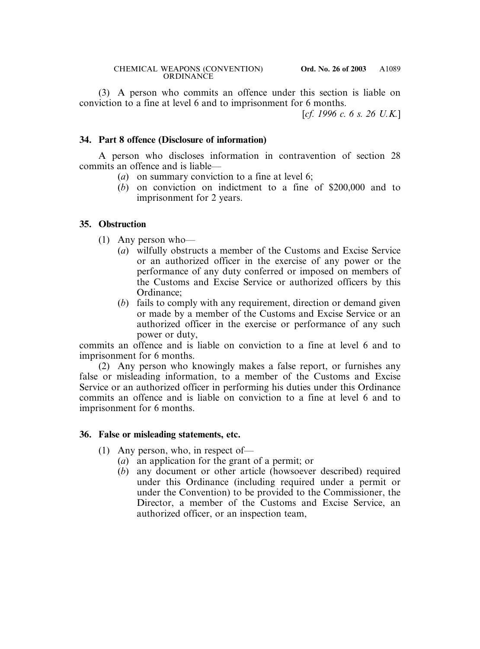(3) A person who commits an offence under this section is liable on conviction to a fine at level 6 and to imprisonment for 6 months.

[*cf. 1996 c. 6 s. 26 U.K.*]

## **34. Part 8 offence (Disclosure of information)**

A person who discloses information in contravention of section 28 commits an offence and is liable—

- (*a*) on summary conviction to a fine at level 6;
- (*b*) on conviction on indictment to a fine of \$200,000 and to imprisonment for 2 years.

## **35. Obstruction**

- (1) Any person who—
	- (*a*) wilfully obstructs a member of the Customs and Excise Service or an authorized officer in the exercise of any power or the performance of any duty conferred or imposed on members of the Customs and Excise Service or authorized officers by this Ordinance;
	- (*b*) fails to comply with any requirement, direction or demand given or made by a member of the Customs and Excise Service or an authorized officer in the exercise or performance of any such power or duty,

commits an offence and is liable on conviction to a fine at level 6 and to imprisonment for 6 months.

(2) Any person who knowingly makes a false report, or furnishes any false or misleading information, to a member of the Customs and Excise Service or an authorized officer in performing his duties under this Ordinance commits an offence and is liable on conviction to a fine at level 6 and to imprisonment for 6 months.

## **36. False or misleading statements, etc.**

- (1) Any person, who, in respect of—
	- (*a*) an application for the grant of a permit; or
	- (*b*) any document or other article (howsoever described) required under this Ordinance (including required under a permit or under the Convention) to be provided to the Commissioner, the Director, a member of the Customs and Excise Service, an authorized officer, or an inspection team,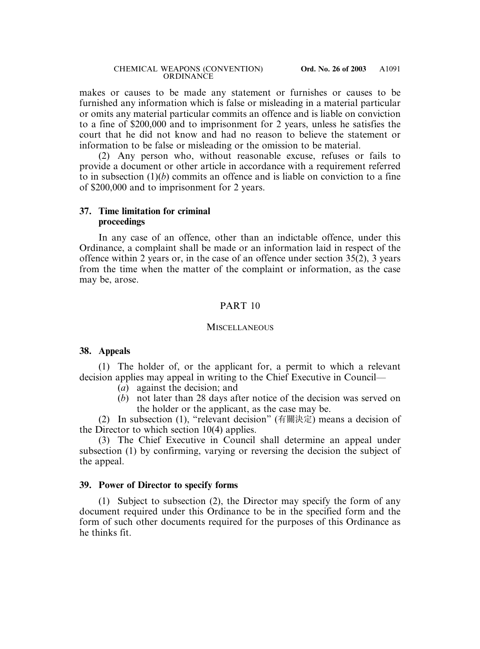makes or causes to be made any statement or furnishes or causes to be furnished any information which is false or misleading in a material particular or omits any material particular commits an offence and is liable on conviction to a fine of \$200,000 and to imprisonment for 2 years, unless he satisfies the court that he did not know and had no reason to believe the statement or information to be false or misleading or the omission to be material.

(2) Any person who, without reasonable excuse, refuses or fails to provide a document or other article in accordance with a requirement referred to in subsection (1)(*b*) commits an offence and is liable on conviction to a fine of \$200,000 and to imprisonment for 2 years.

## **37. Time limitation for criminal proceedings**

In any case of an offence, other than an indictable offence, under this Ordinance, a complaint shall be made or an information laid in respect of the offence within 2 years or, in the case of an offence under section 35(2), 3 years from the time when the matter of the complaint or information, as the case may be, arose.

## PART 10

#### **MISCELLANEOUS**

## **38. Appeals**

(1) The holder of, or the applicant for, a permit to which a relevant decision applies may appeal in writing to the Chief Executive in Council—

- (*a*) against the decision; and
- (*b*) not later than 28 days after notice of the decision was served on the holder or the applicant, as the case may be.

(2) In subsection (1), "relevant decision" (有關決定) means a decision of the Director to which section 10(4) applies.

(3) The Chief Executive in Council shall determine an appeal under subsection (1) by confirming, varying or reversing the decision the subject of the appeal.

## **39. Power of Director to specify forms**

(1) Subject to subsection (2), the Director may specify the form of any document required under this Ordinance to be in the specified form and the form of such other documents required for the purposes of this Ordinance as he thinks fit.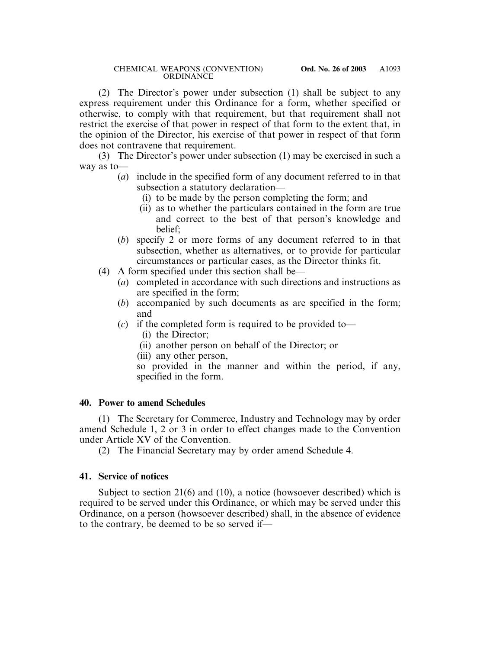(2) The Director's power under subsection (1) shall be subject to any express requirement under this Ordinance for a form, whether specified or otherwise, to comply with that requirement, but that requirement shall not restrict the exercise of that power in respect of that form to the extent that, in the opinion of the Director, his exercise of that power in respect of that form does not contravene that requirement.

(3) The Director's power under subsection (1) may be exercised in such a way as to—

- (*a*) include in the specified form of any document referred to in that subsection a statutory declaration—
	- (i) to be made by the person completing the form; and
	- (ii) as to whether the particulars contained in the form are true and correct to the best of that person's knowledge and belief;
- (*b*) specify 2 or more forms of any document referred to in that subsection, whether as alternatives, or to provide for particular circumstances or particular cases, as the Director thinks fit.
- (4) A form specified under this section shall be—
	- (*a*) completed in accordance with such directions and instructions as are specified in the form;
	- (*b*) accompanied by such documents as are specified in the form; and
	- (*c*) if the completed form is required to be provided to—
		- (i) the Director;
		- (ii) another person on behalf of the Director; or
		- (iii) any other person,

so provided in the manner and within the period, if any, specified in the form.

## **40. Power to amend Schedules**

(1) The Secretary for Commerce, Industry and Technology may by order amend Schedule 1, 2 or 3 in order to effect changes made to the Convention under Article XV of the Convention.

(2) The Financial Secretary may by order amend Schedule 4.

## **41. Service of notices**

Subject to section 21(6) and (10), a notice (howsoever described) which is required to be served under this Ordinance, or which may be served under this Ordinance, on a person (howsoever described) shall, in the absence of evidence to the contrary, be deemed to be so served if—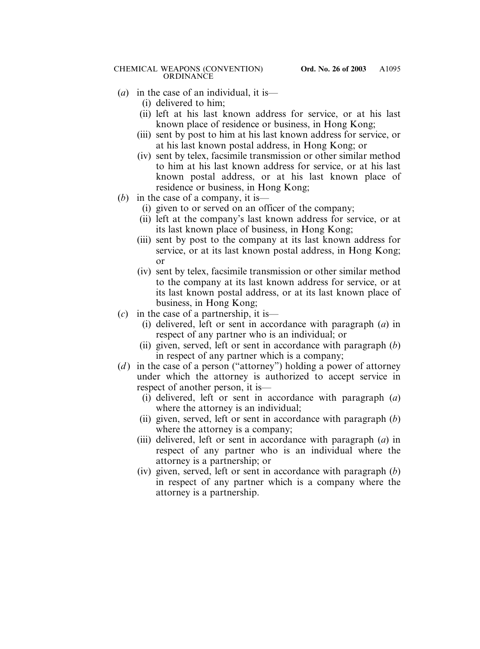#### CHEMICAL WEAPONS (CONVENTION) **Ord. No. 26 of 2003 ORDINANCE**

- (*a*) in the case of an individual, it is—
	- (i) delivered to him;
	- (ii) left at his last known address for service, or at his last known place of residence or business, in Hong Kong;
	- (iii) sent by post to him at his last known address for service, or at his last known postal address, in Hong Kong; or
	- (iv) sent by telex, facsimile transmission or other similar method to him at his last known address for service, or at his last known postal address, or at his last known place of residence or business, in Hong Kong;
- (*b*) in the case of a company, it is—
	- (i) given to or served on an officer of the company;
	- (ii) left at the company's last known address for service, or at its last known place of business, in Hong Kong;
	- (iii) sent by post to the company at its last known address for service, or at its last known postal address, in Hong Kong; or
	- (iv) sent by telex, facsimile transmission or other similar method to the company at its last known address for service, or at its last known postal address, or at its last known place of business, in Hong Kong;
- (*c*) in the case of a partnership, it is—
	- (i) delivered, left or sent in accordance with paragraph (*a*) in respect of any partner who is an individual; or
	- (ii) given, served, left or sent in accordance with paragraph (*b*) in respect of any partner which is a company;
- (*d*) in the case of a person ("attorney") holding a power of attorney under which the attorney is authorized to accept service in respect of another person, it is—
	- (i) delivered, left or sent in accordance with paragraph (*a*) where the attorney is an individual;
	- (ii) given, served, left or sent in accordance with paragraph (*b*) where the attorney is a company;
	- (iii) delivered, left or sent in accordance with paragraph (*a*) in respect of any partner who is an individual where the attorney is a partnership; or
	- (iv) given, served, left or sent in accordance with paragraph (*b*) in respect of any partner which is a company where the attorney is a partnership.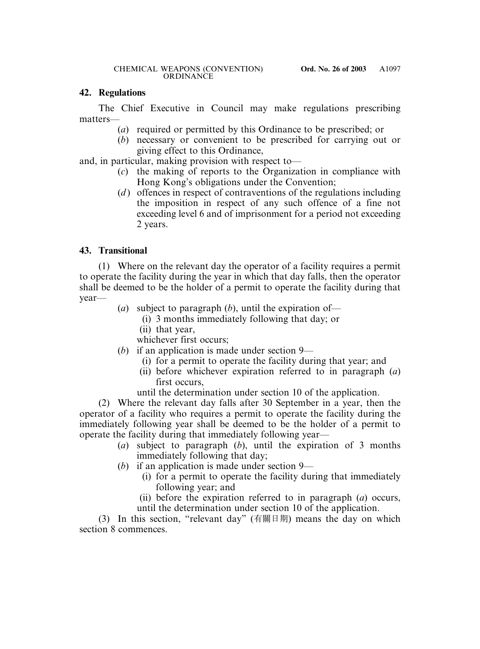# **42. Regulations**

The Chief Executive in Council may make regulations prescribing matters—

- (*a*) required or permitted by this Ordinance to be prescribed; or
- (*b*) necessary or convenient to be prescribed for carrying out or giving effect to this Ordinance,

and, in particular, making provision with respect to—

- (*c*) the making of reports to the Organization in compliance with Hong Kong's obligations under the Convention;
- (*d*) offences in respect of contraventions of the regulations including the imposition in respect of any such offence of a fine not exceeding level 6 and of imprisonment for a period not exceeding 2 years.

# **43. Transitional**

(1) Where on the relevant day the operator of a facility requires a permit to operate the facility during the year in which that day falls, then the operator shall be deemed to be the holder of a permit to operate the facility during that year—

- (*a*) subject to paragraph (*b*), until the expiration of—
	- (i) 3 months immediately following that day; or
	- (ii) that year,

whichever first occurs;

- (*b*) if an application is made under section 9—
	- (i) for a permit to operate the facility during that year; and
	- (ii) before whichever expiration referred to in paragraph (*a*) first occurs,
	- until the determination under section 10 of the application.

(2) Where the relevant day falls after 30 September in a year, then the operator of a facility who requires a permit to operate the facility during the immediately following year shall be deemed to be the holder of a permit to operate the facility during that immediately following year—

- (*a*) subject to paragraph (*b*), until the expiration of 3 months immediately following that day;
- (*b*) if an application is made under section 9—
	- (i) for a permit to operate the facility during that immediately following year; and
	- (ii) before the expiration referred to in paragraph (*a*) occurs, until the determination under section 10 of the application.

(3) In this section, "relevant day" (有關日期) means the day on which section 8 commences.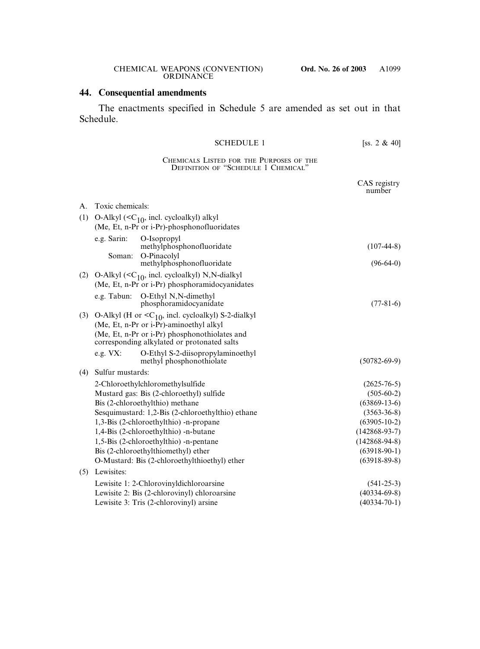## **44. Consequential amendments**

The enactments specified in Schedule 5 are amended as set out in that Schedule.

#### SCHEDULE 1 [ss.  $2 \& 40$ ]

#### CHEMICALS LISTED FOR THE PURPOSES OF THE DEFINITION OF "SCHEDULE 1 CHEMICAL"

|     |                                                   |                                                                                                                                                                                                           | CAS registry<br>number |
|-----|---------------------------------------------------|-----------------------------------------------------------------------------------------------------------------------------------------------------------------------------------------------------------|------------------------|
| A.  | Toxic chemicals:                                  |                                                                                                                                                                                                           |                        |
| (1) |                                                   | O-Alkyl $(C10$ , incl. cycloalkyl) alkyl                                                                                                                                                                  |                        |
|     |                                                   | (Me, Et, n-Pr or i-Pr)-phosphonofluoridates                                                                                                                                                               |                        |
|     | e.g. Sarin:                                       | O-Isopropyl<br>methylphosphonofluoridate                                                                                                                                                                  | $(107-44-8)$           |
|     | Soman:                                            | O-Pinacolyl<br>methylphosphonofluoridate                                                                                                                                                                  | $(96-64-0)$            |
| (2) |                                                   | O-Alkyl $(C10$ , incl. cycloalkyl) N,N-dialkyl<br>(Me, Et, n-Pr or i-Pr) phosphoramidocyanidates                                                                                                          |                        |
|     | e.g. Tabun:                                       | O-Ethyl N,N-dimethyl<br>phosphoramidocyanidate                                                                                                                                                            | $(77-81-6)$            |
| (3) |                                                   | O-Alkyl (H or $\langle C_{10}$ , incl. cycloalkyl) S-2-dialkyl<br>(Me, Et, n-Pr or i-Pr)-aminoethyl alkyl<br>(Me, Et, n-Pr or i-Pr) phosphonothiolates and<br>corresponding alkylated or protonated salts |                        |
|     | e.g. $VX$ :                                       | O-Ethyl S-2-diisopropylaminoethyl<br>methyl phosphonothiolate                                                                                                                                             | $(50782 - 69 - 9)$     |
| (4) | Sulfur mustards:                                  |                                                                                                                                                                                                           |                        |
|     |                                                   | 2-Chloroethylchloromethylsulfide                                                                                                                                                                          | $(2625 - 76 - 5)$      |
|     |                                                   | Mustard gas: Bis (2-chloroethyl) sulfide                                                                                                                                                                  | $(505-60-2)$           |
|     | Bis (2-chloroethylthio) methane                   |                                                                                                                                                                                                           | $(63869-13-6)$         |
|     | Sesquimustard: 1,2-Bis (2-chloroethylthio) ethane |                                                                                                                                                                                                           | $(3563 - 36 - 8)$      |
|     | 1,3-Bis (2-chloroethylthio) -n-propane            |                                                                                                                                                                                                           | $(63905 - 10 - 2)$     |
|     | 1,4-Bis (2-chloroethylthio) -n-butane             |                                                                                                                                                                                                           | $(142868-93-7)$        |
|     | 1,5-Bis (2-chloroethylthio) -n-pentane            |                                                                                                                                                                                                           | $(142868-94-8)$        |
|     |                                                   | Bis (2-chloroethylthiomethyl) ether                                                                                                                                                                       | $(63918-90-1)$         |
|     |                                                   | O-Mustard: Bis (2-chloroethylthioethyl) ether                                                                                                                                                             | $(63918-89-8)$         |
| (5) | Lewisites:                                        |                                                                                                                                                                                                           |                        |
|     |                                                   | Lewisite 1: 2-Chlorovinyldichloroarsine                                                                                                                                                                   | $(541-25-3)$           |
|     |                                                   | Lewisite 2: Bis (2-chlorovinyl) chloroarsine                                                                                                                                                              | $(40334-69-8)$         |
|     |                                                   | Lewisite 3: Tris (2-chlorovinyl) arsine                                                                                                                                                                   | $(40334 - 70 - 1)$     |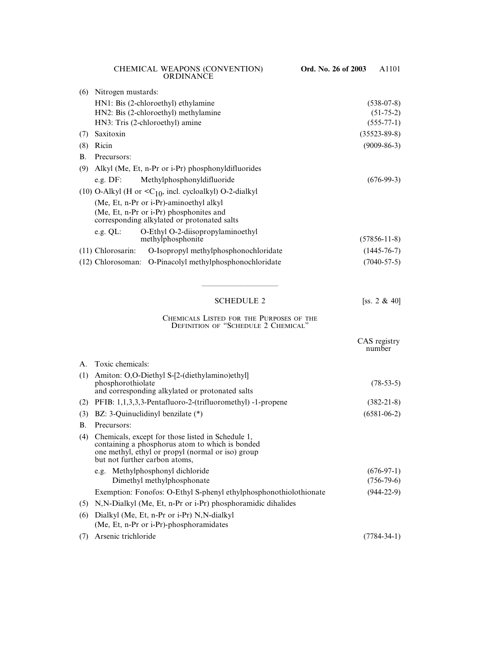| (6)       | Nitrogen mustards:                                                                     |                                                                     |                    |
|-----------|----------------------------------------------------------------------------------------|---------------------------------------------------------------------|--------------------|
|           |                                                                                        | HN1: Bis (2-chloroethyl) ethylamine                                 | $(538-07-8)$       |
|           |                                                                                        | HN2: Bis (2-chloroethyl) methylamine                                | $(51-75-2)$        |
|           |                                                                                        | HN3: Tris (2-chloroethyl) amine                                     | $(555-77-1)$       |
| (7)       | Saxitoxin                                                                              |                                                                     | $(35523 - 89 - 8)$ |
| (8)       | Ricin                                                                                  |                                                                     | $(9009 - 86 - 3)$  |
| <b>B.</b> | Precursors:                                                                            |                                                                     |                    |
| (9)       | Alkyl (Me, Et, n-Pr or i-Pr) phosphonyldifluorides                                     |                                                                     |                    |
|           |                                                                                        | e.g. DF: Methylphosphonyldifluoride                                 | $(676-99-3)$       |
|           |                                                                                        | (10) O-Alkyl (H or $\langle C_{10}$ , incl. cycloalkyl) O-2-dialkyl |                    |
|           | (Me, Et, n-Pr or i-Pr)-aminoethyl alkyl                                                |                                                                     |                    |
|           | (Me, Et, n-Pr or i-Pr) phosphonites and<br>corresponding alkylated or protonated salts |                                                                     |                    |
|           | e.g. $QL$ :                                                                            | O-Ethyl O-2-diisopropylaminoethyl<br>methylphosphonite              | $(57856 - 11 - 8)$ |
|           | $(11)$ Chlorosarin:                                                                    | O-Isopropyl methylphosphonochloridate                               | $(1445 - 76 - 7)$  |
|           |                                                                                        | (12) Chlorosoman: O-Pinacolyl methylphosphonochloridate             | $(7040 - 57 - 5)$  |
|           |                                                                                        |                                                                     |                    |

#### SCHEDULE 2 [ss. 2 & 40]

CAS registry

#### CHEMICALS LISTED FOR THE PURPOSES OF THE DEFINITION OF "SCHEDULE 2 CHEMICAL"

——————————

|                      |                                                                                                                                                                                            | number            |
|----------------------|--------------------------------------------------------------------------------------------------------------------------------------------------------------------------------------------|-------------------|
| $\mathbf{A}_{\cdot}$ | Toxic chemicals:                                                                                                                                                                           |                   |
| (1)                  | Amiton: O,O-Diethyl S-[2-(diethylamino)ethyl]<br>phosphorothiolate<br>and corresponding alkylated or protonated salts                                                                      | $(78-53-5)$       |
| (2)                  | PFIB: 1,1,3,3,3-Pentafluoro-2-(trifluoromethyl) -1-propene                                                                                                                                 | $(382 - 21 - 8)$  |
| (3)                  | BZ: 3-Quinuclidinyl benzilate $(*)$                                                                                                                                                        | $(6581 - 06 - 2)$ |
| <b>B.</b>            | Precursors:                                                                                                                                                                                |                   |
| (4)                  | Chemicals, except for those listed in Schedule 1,<br>containing a phosphorus atom to which is bonded<br>one methyl, ethyl or propyl (normal or iso) group<br>but not further carbon atoms, |                   |
|                      | e.g. Methylphosphonyl dichloride                                                                                                                                                           | $(676-97-1)$      |
|                      | Dimethyl methylphosphonate                                                                                                                                                                 | $(756-79-6)$      |
|                      | Exemption: Fonofos: O-Ethyl S-phenyl ethylphosphonothiolothionate                                                                                                                          | $(944-22-9)$      |
| (5)                  | N, N-Dialkyl (Me, Et, n-Pr or i-Pr) phosphoramidic dihalides                                                                                                                               |                   |
| (6)                  | Dialkyl (Me, Et, n-Pr or i-Pr) N, N-dialkyl                                                                                                                                                |                   |
|                      | (Me, Et, n-Pr or $i$ -Pr)-phosphoramidates                                                                                                                                                 |                   |
| (7)                  | Arsenic trichloride                                                                                                                                                                        | $(7784 - 34 - 1)$ |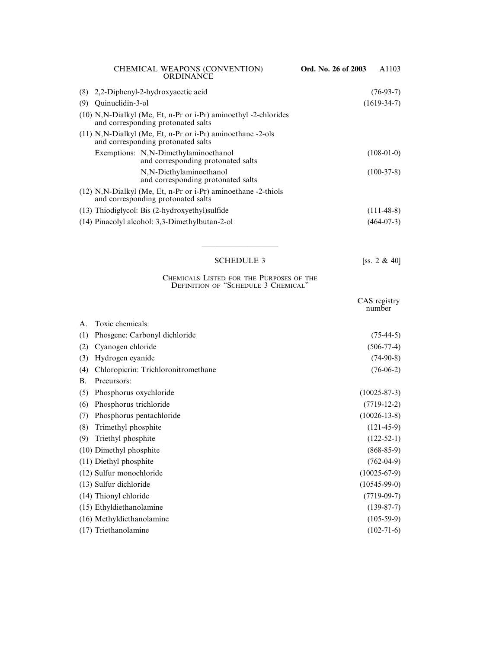| CHEMICAL WEAPONS (CONVENTION)<br><b>ORDINANCE</b>                                                       | Ord. No. 26 of 2003 | A1103        |
|---------------------------------------------------------------------------------------------------------|---------------------|--------------|
| (8) 2,2-Diphenyl-2-hydroxyacetic acid                                                                   |                     | $(76-93-7)$  |
| Quinuclidin-3-ol<br>(9)                                                                                 | $(1619-34-7)$       |              |
| $(10)$ N,N-Dialkyl (Me, Et, n-Pr or i-Pr) aminoethyl -2-chlorides<br>and corresponding protonated salts |                     |              |
| $(11)$ N,N-Dialkyl (Me, Et, n-Pr or i-Pr) aminoethane -2-ols<br>and corresponding protonated salts      |                     |              |
| Exemptions: N,N-Dimethylaminoethanol<br>and corresponding protonated salts                              |                     | $(108-01-0)$ |
| N,N-Diethylaminoethanol<br>and corresponding protonated salts                                           |                     | $(100-37-8)$ |
| $(12)$ N,N-Dialkyl (Me, Et, n-Pr or i-Pr) aminoethane -2-thiols<br>and corresponding protonated salts   |                     |              |
| $(13)$ Thiodiglycol: Bis $(2-hydroxyethyl)$ sulfide                                                     |                     | $(111-48-8)$ |
| (14) Pinacolyl alcohol: 3,3-Dimethylbutan-2-ol                                                          |                     | $(464-07-3)$ |
|                                                                                                         |                     |              |

# SCHEDULE 3 [ss. 2 & 40]

——————————

#### CHEMICALS LISTED FOR THE PURPOSES OF THE DEFINITION OF "SCHEDULE 3 CHEMICAL"

|           |                                     | CAS registry<br>number |
|-----------|-------------------------------------|------------------------|
| A.        | Toxic chemicals:                    |                        |
| (1)       | Phosgene: Carbonyl dichloride       | $(75-44-5)$            |
| (2)       | Cyanogen chloride                   | $(506-77-4)$           |
| (3)       | Hydrogen cyanide                    | $(74-90-8)$            |
| (4)       | Chloropicrin: Trichloronitromethane | $(76-06-2)$            |
| <b>B.</b> | Precursors:                         |                        |
| (5)       | Phosphorus oxychloride              | $(10025 - 87 - 3)$     |
| (6)       | Phosphorus trichloride              | $(7719-12-2)$          |
| (7)       | Phosphorus pentachloride            | $(10026 - 13 - 8)$     |
| (8)       | Trimethyl phosphite                 | $(121-45-9)$           |
| (9)       | Triethyl phosphite                  | $(122-52-1)$           |
|           | (10) Dimethyl phosphite             | $(868 - 85 - 9)$       |
|           | (11) Diethyl phosphite              | $(762-04-9)$           |
|           | (12) Sulfur monochloride            | $(10025-67-9)$         |
|           | (13) Sulfur dichloride              | $(10545-99-0)$         |
|           | (14) Thionyl chloride               | $(7719-09-7)$          |
|           | (15) Ethyldiethanolamine            | $(139-87-7)$           |
|           | (16) Methyldiethanolamine           | $(105-59-9)$           |
|           | (17) Triethanolamine                | $(102-71-6)$           |